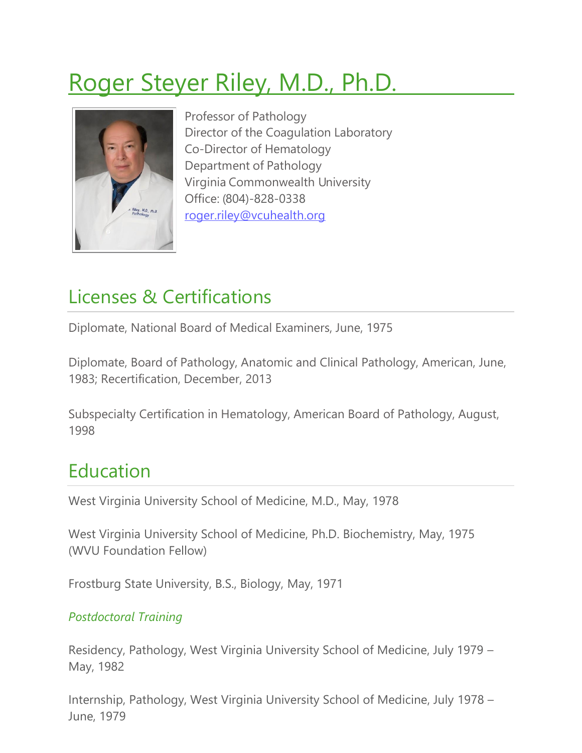# Roger Steyer Riley, M.D., Ph.D.



Professor of Pathology Director of the Coagulation Laboratory Co-Director of Hematology Department of Pathology Virginia Commonwealth University Office: (804)-828-0338 [roger.riley@vcuhealth.org](mailto:roger.riley@vcuhealth.org)

# Licenses & Certifications

Diplomate, National Board of Medical Examiners, June, 1975

Diplomate, Board of Pathology, Anatomic and Clinical Pathology, American, June, 1983; Recertification, December, 2013

Subspecialty Certification in Hematology, American Board of Pathology, August, 1998

# Education

West Virginia University School of Medicine, M.D., May, 1978

West Virginia University School of Medicine, Ph.D. Biochemistry, May, 1975 (WVU Foundation Fellow)

Frostburg State University, B.S., Biology, May, 1971

### *Postdoctoral Training*

Residency, Pathology, West Virginia University School of Medicine, July 1979 – May, 1982

Internship, Pathology, West Virginia University School of Medicine, July 1978 – June, 1979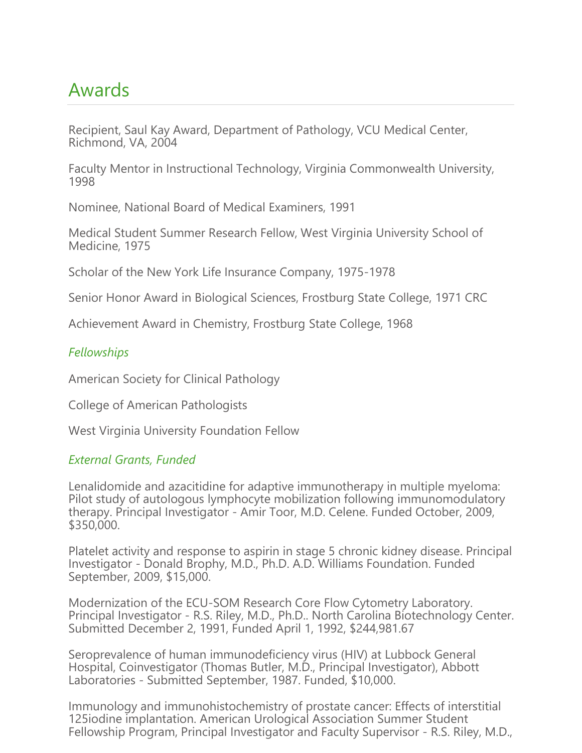### Awards

Recipient, Saul Kay Award, Department of Pathology, VCU Medical Center, Richmond, VA, 2004

Faculty Mentor in Instructional Technology, Virginia Commonwealth University, 1998

Nominee, National Board of Medical Examiners, 1991

Medical Student Summer Research Fellow, West Virginia University School of Medicine, 1975

Scholar of the New York Life Insurance Company, 1975-1978

Senior Honor Award in Biological Sciences, Frostburg State College, 1971 CRC

Achievement Award in Chemistry, Frostburg State College, 1968

#### *Fellowships*

American Society for Clinical Pathology

College of American Pathologists

West Virginia University Foundation Fellow

#### *External Grants, Funded*

Lenalidomide and azacitidine for adaptive immunotherapy in multiple myeloma: Pilot study of autologous lymphocyte mobilization following immunomodulatory therapy. Principal Investigator - Amir Toor, M.D. Celene. Funded October, 2009, \$350,000.

Platelet activity and response to aspirin in stage 5 chronic kidney disease. Principal Investigator - Donald Brophy, M.D., Ph.D. A.D. Williams Foundation. Funded September, 2009, \$15,000.

Modernization of the ECU-SOM Research Core Flow Cytometry Laboratory. Principal Investigator - R.S. Riley, M.D., Ph.D.. North Carolina Biotechnology Center. Submitted December 2, 1991, Funded April 1, 1992, \$244,981.67

Seroprevalence of human immunodeficiency virus (HIV) at Lubbock General Hospital, Coinvestigator (Thomas Butler, M.D., Principal Investigator), Abbott Laboratories - Submitted September, 1987. Funded, \$10,000.

Immunology and immunohistochemistry of prostate cancer: Effects of interstitial 125iodine implantation. American Urological Association Summer Student Fellowship Program, Principal Investigator and Faculty Supervisor - R.S. Riley, M.D.,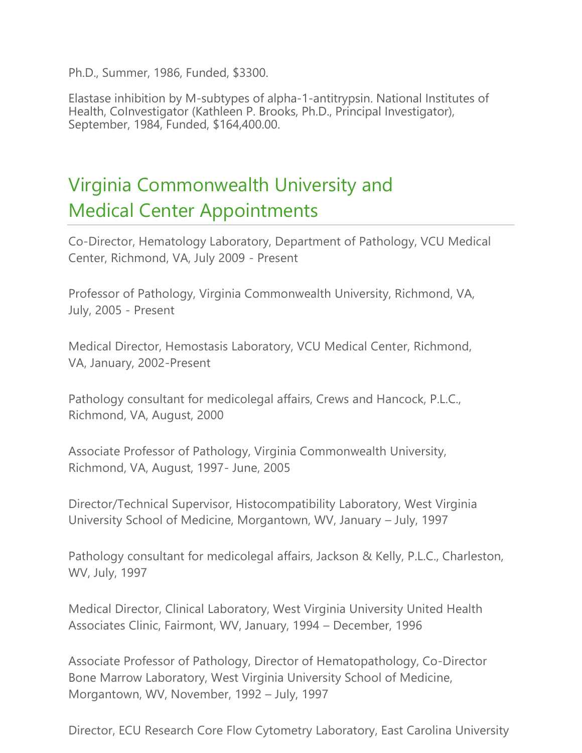Ph.D., Summer, 1986, Funded, \$3300.

Elastase inhibition by M-subtypes of alpha-1-antitrypsin. National Institutes of Health, CoInvestigator (Kathleen P. Brooks, Ph.D., Principal Investigator), September, 1984, Funded, \$164,400.00.

# Virginia Commonwealth University and Medical Center Appointments

Co-Director, Hematology Laboratory, Department of Pathology, VCU Medical Center, Richmond, VA, July 2009 - Present

Professor of Pathology, Virginia Commonwealth University, Richmond, VA, July, 2005 - Present

Medical Director, Hemostasis Laboratory, VCU Medical Center, Richmond, VA, January, 2002-Present

Pathology consultant for medicolegal affairs, Crews and Hancock, P.L.C., Richmond, VA, August, 2000

Associate Professor of Pathology, Virginia Commonwealth University, Richmond, VA, August, 1997- June, 2005

Director/Technical Supervisor, Histocompatibility Laboratory, West Virginia University School of Medicine, Morgantown, WV, January – July, 1997

Pathology consultant for medicolegal affairs, Jackson & Kelly, P.L.C., Charleston, WV, July, 1997

Medical Director, Clinical Laboratory, West Virginia University United Health Associates Clinic, Fairmont, WV, January, 1994 – December, 1996

Associate Professor of Pathology, Director of Hematopathology, Co-Director Bone Marrow Laboratory, West Virginia University School of Medicine, Morgantown, WV, November, 1992 – July, 1997

Director, ECU Research Core Flow Cytometry Laboratory, East Carolina University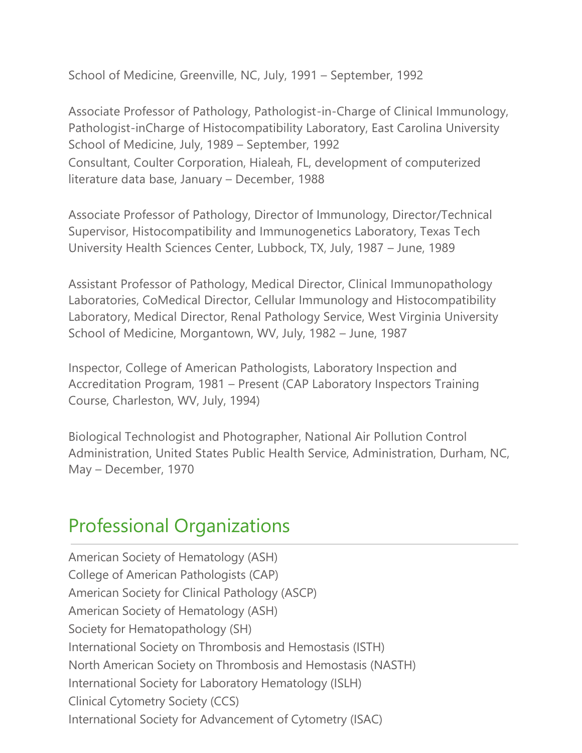School of Medicine, Greenville, NC, July, 1991 – September, 1992

Associate Professor of Pathology, Pathologist-in-Charge of Clinical Immunology, Pathologist-inCharge of Histocompatibility Laboratory, East Carolina University School of Medicine, July, 1989 – September, 1992 Consultant, Coulter Corporation, Hialeah, FL, development of computerized literature data base, January – December, 1988

Associate Professor of Pathology, Director of Immunology, Director/Technical Supervisor, Histocompatibility and Immunogenetics Laboratory, Texas Tech University Health Sciences Center, Lubbock, TX, July, 1987 – June, 1989

Assistant Professor of Pathology, Medical Director, Clinical Immunopathology Laboratories, CoMedical Director, Cellular Immunology and Histocompatibility Laboratory, Medical Director, Renal Pathology Service, West Virginia University School of Medicine, Morgantown, WV, July, 1982 – June, 1987

Inspector, College of American Pathologists, Laboratory Inspection and Accreditation Program, 1981 – Present (CAP Laboratory Inspectors Training Course, Charleston, WV, July, 1994)

Biological Technologist and Photographer, National Air Pollution Control Administration, United States Public Health Service, Administration, Durham, NC, May – December, 1970

### Professional Organizations

American Society of Hematology (ASH) College of American Pathologists (CAP) American Society for Clinical Pathology (ASCP) American Society of Hematology (ASH) Society for Hematopathology (SH) International Society on Thrombosis and Hemostasis (ISTH) North American Society on Thrombosis and Hemostasis (NASTH) International Society for Laboratory Hematology (ISLH) Clinical Cytometry Society (CCS) International Society for Advancement of Cytometry (ISAC)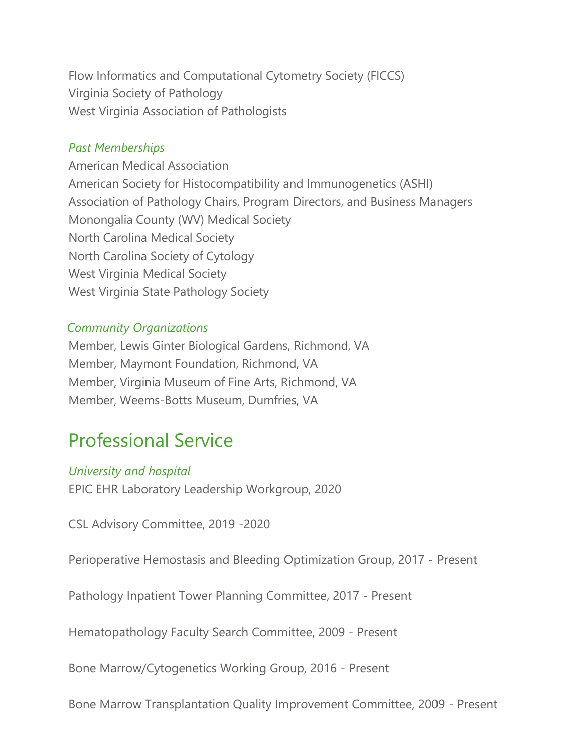Flow Informatics and Computational Cytometry Society (FICCS) Virginia Society of Pathology West Virginia Association of Pathologists

#### *Past Memberships*

American Medical Association American Society for Histocompatibility and Immunogenetics (ASHI) Association of Pathology Chairs, Program Directors, and Business Managers Monongalia County (WV) Medical Society North Carolina Medical Society North Carolina Society of Cytology West Virginia Medical Society West Virginia State Pathology Society

#### *Community Organizations*

Member, Lewis Ginter Biological Gardens, Richmond, VA Member, Maymont Foundation, Richmond, VA Member, Virginia Museum of Fine Arts, Richmond, VA Member, Weems-Botts Museum, Dumfries, VA

### Professional Service

#### *University and hospital*

EPIC EHR Laboratory Leadership Workgroup, 2020

CSL Advisory Committee, 2019 -2020

Perioperative Hemostasis and Bleeding Optimization Group, 2017 - Present

Pathology Inpatient Tower Planning Committee, 2017 - Present

Hematopathology Faculty Search Committee, 2009 - Present

Bone Marrow/Cytogenetics Working Group, 2016 - Present

Bone Marrow Transplantation Quality Improvement Committee, 2009 - Present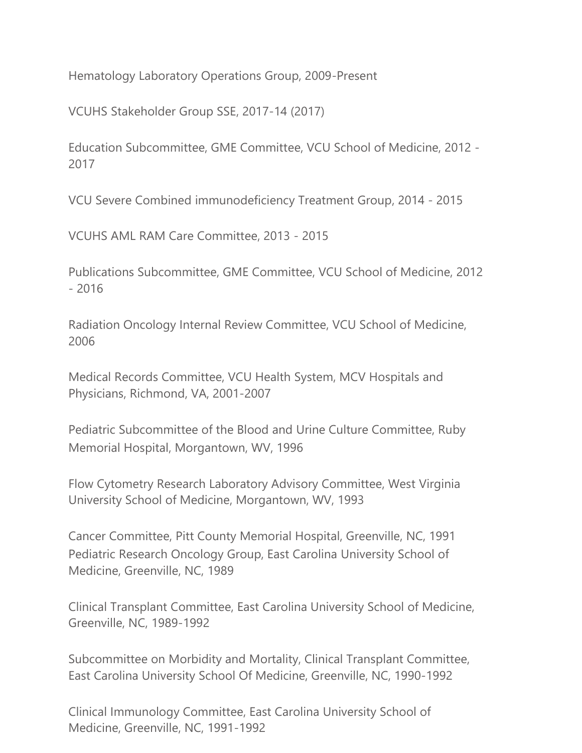Hematology Laboratory Operations Group, 2009-Present

VCUHS Stakeholder Group SSE, 2017-14 (2017)

Education Subcommittee, GME Committee, VCU School of Medicine, 2012 - 2017

VCU Severe Combined immunodeficiency Treatment Group, 2014 - 2015

VCUHS AML RAM Care Committee, 2013 - 2015

Publications Subcommittee, GME Committee, VCU School of Medicine, 2012 - 2016

Radiation Oncology Internal Review Committee, VCU School of Medicine, 2006

Medical Records Committee, VCU Health System, MCV Hospitals and Physicians, Richmond, VA, 2001-2007

Pediatric Subcommittee of the Blood and Urine Culture Committee, Ruby Memorial Hospital, Morgantown, WV, 1996

Flow Cytometry Research Laboratory Advisory Committee, West Virginia University School of Medicine, Morgantown, WV, 1993

Cancer Committee, Pitt County Memorial Hospital, Greenville, NC, 1991 Pediatric Research Oncology Group, East Carolina University School of Medicine, Greenville, NC, 1989

Clinical Transplant Committee, East Carolina University School of Medicine, Greenville, NC, 1989-1992

Subcommittee on Morbidity and Mortality, Clinical Transplant Committee, East Carolina University School Of Medicine, Greenville, NC, 1990-1992

Clinical Immunology Committee, East Carolina University School of Medicine, Greenville, NC, 1991-1992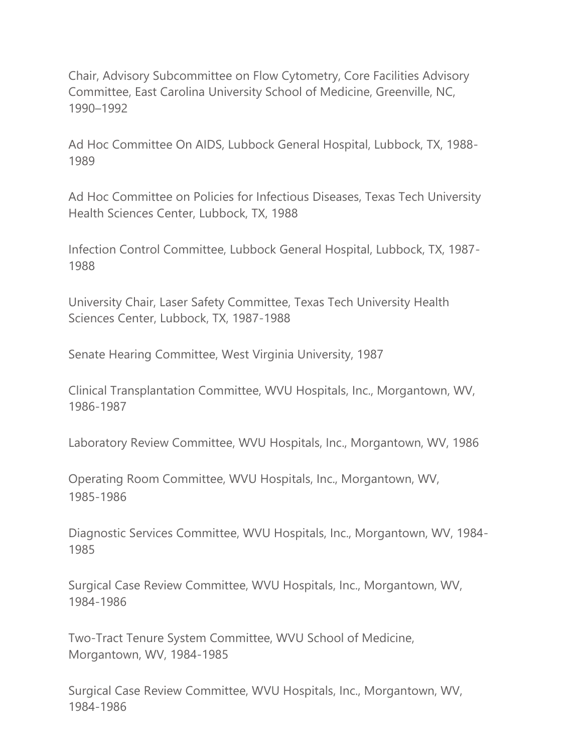Chair, Advisory Subcommittee on Flow Cytometry, Core Facilities Advisory Committee, East Carolina University School of Medicine, Greenville, NC, 1990–1992

Ad Hoc Committee On AIDS, Lubbock General Hospital, Lubbock, TX, 1988- 1989

Ad Hoc Committee on Policies for Infectious Diseases, Texas Tech University Health Sciences Center, Lubbock, TX, 1988

Infection Control Committee, Lubbock General Hospital, Lubbock, TX, 1987- 1988

University Chair, Laser Safety Committee, Texas Tech University Health Sciences Center, Lubbock, TX, 1987-1988

Senate Hearing Committee, West Virginia University, 1987

Clinical Transplantation Committee, WVU Hospitals, Inc., Morgantown, WV, 1986-1987

Laboratory Review Committee, WVU Hospitals, Inc., Morgantown, WV, 1986

Operating Room Committee, WVU Hospitals, Inc., Morgantown, WV, 1985-1986

Diagnostic Services Committee, WVU Hospitals, Inc., Morgantown, WV, 1984- 1985

Surgical Case Review Committee, WVU Hospitals, Inc., Morgantown, WV, 1984-1986

Two-Tract Tenure System Committee, WVU School of Medicine, Morgantown, WV, 1984-1985

Surgical Case Review Committee, WVU Hospitals, Inc., Morgantown, WV, 1984-1986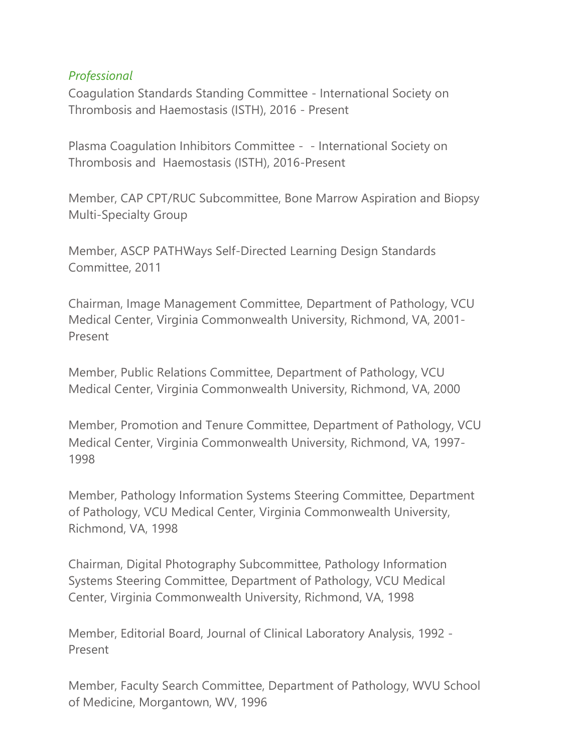### *Professional*

Coagulation Standards Standing Committee - International Society on Thrombosis and Haemostasis (ISTH), 2016 - Present

Plasma Coagulation Inhibitors Committee - - International Society on Thrombosis and Haemostasis (ISTH), 2016-Present

Member, CAP CPT/RUC Subcommittee, Bone Marrow Aspiration and Biopsy Multi-Specialty Group

Member, ASCP PATHWays Self-Directed Learning Design Standards Committee, 2011

Chairman, Image Management Committee, Department of Pathology, VCU Medical Center, Virginia Commonwealth University, Richmond, VA, 2001- Present

Member, Public Relations Committee, Department of Pathology, VCU Medical Center, Virginia Commonwealth University, Richmond, VA, 2000

Member, Promotion and Tenure Committee, Department of Pathology, VCU Medical Center, Virginia Commonwealth University, Richmond, VA, 1997- 1998

Member, Pathology Information Systems Steering Committee, Department of Pathology, VCU Medical Center, Virginia Commonwealth University, Richmond, VA, 1998

Chairman, Digital Photography Subcommittee, Pathology Information Systems Steering Committee, Department of Pathology, VCU Medical Center, Virginia Commonwealth University, Richmond, VA, 1998

Member, Editorial Board, Journal of Clinical Laboratory Analysis, 1992 - Present

Member, Faculty Search Committee, Department of Pathology, WVU School of Medicine, Morgantown, WV, 1996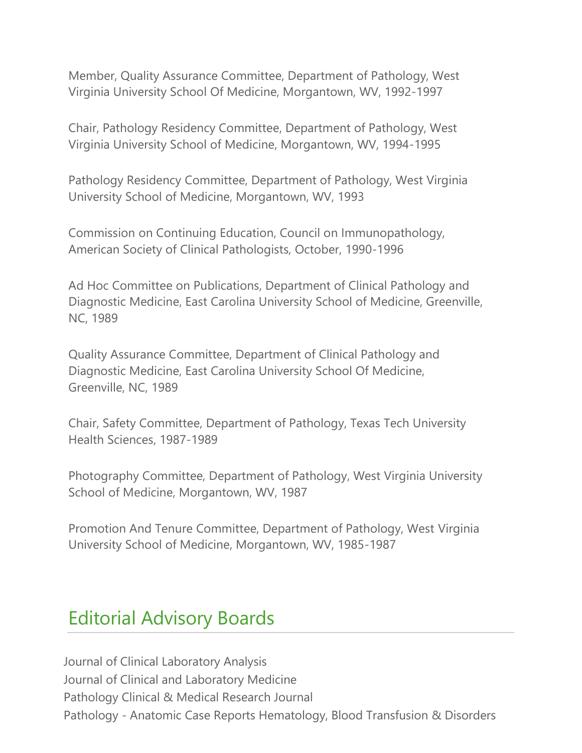Member, Quality Assurance Committee, Department of Pathology, West Virginia University School Of Medicine, Morgantown, WV, 1992-1997

Chair, Pathology Residency Committee, Department of Pathology, West Virginia University School of Medicine, Morgantown, WV, 1994-1995

Pathology Residency Committee, Department of Pathology, West Virginia University School of Medicine, Morgantown, WV, 1993

Commission on Continuing Education, Council on Immunopathology, American Society of Clinical Pathologists, October, 1990-1996

Ad Hoc Committee on Publications, Department of Clinical Pathology and Diagnostic Medicine, East Carolina University School of Medicine, Greenville, NC, 1989

Quality Assurance Committee, Department of Clinical Pathology and Diagnostic Medicine, East Carolina University School Of Medicine, Greenville, NC, 1989

Chair, Safety Committee, Department of Pathology, Texas Tech University Health Sciences, 1987-1989

Photography Committee, Department of Pathology, West Virginia University School of Medicine, Morgantown, WV, 1987

Promotion And Tenure Committee, Department of Pathology, West Virginia University School of Medicine, Morgantown, WV, 1985-1987

### Editorial Advisory Boards

Journal of Clinical Laboratory Analysis Journal of Clinical and Laboratory Medicine Pathology Clinical & Medical Research Journal Pathology - Anatomic Case Reports Hematology, Blood Transfusion & Disorders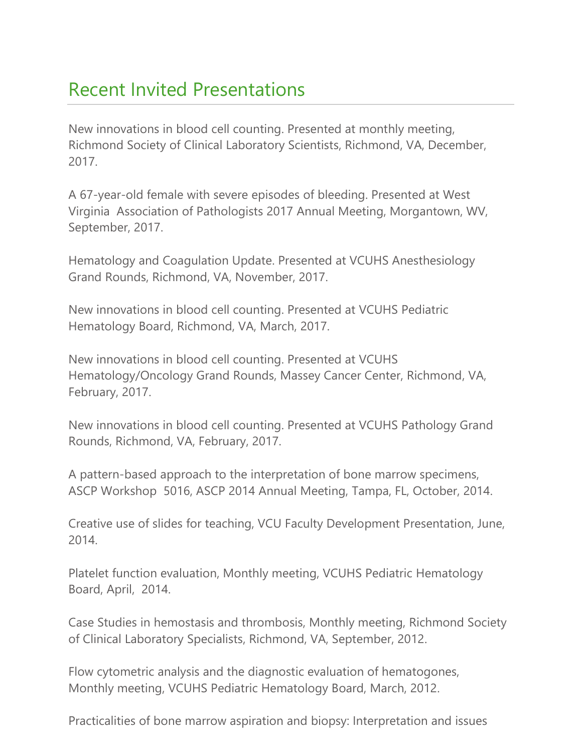### Recent Invited Presentations

New innovations in blood cell counting. Presented at monthly meeting, Richmond Society of Clinical Laboratory Scientists, Richmond, VA, December, 2017.

A 67-year-old female with severe episodes of bleeding. Presented at West Virginia Association of Pathologists 2017 Annual Meeting, Morgantown, WV, September, 2017.

Hematology and Coagulation Update. Presented at VCUHS Anesthesiology Grand Rounds, Richmond, VA, November, 2017.

New innovations in blood cell counting. Presented at VCUHS Pediatric Hematology Board, Richmond, VA, March, 2017.

New innovations in blood cell counting. Presented at VCUHS Hematology/Oncology Grand Rounds, Massey Cancer Center, Richmond, VA, February, 2017.

New innovations in blood cell counting. Presented at VCUHS Pathology Grand Rounds, Richmond, VA, February, 2017.

A pattern-based approach to the interpretation of bone marrow specimens, ASCP Workshop 5016, ASCP 2014 Annual Meeting, Tampa, FL, October, 2014.

Creative use of slides for teaching, VCU Faculty Development Presentation, June, 2014.

Platelet function evaluation, Monthly meeting, VCUHS Pediatric Hematology Board, April, 2014.

Case Studies in hemostasis and thrombosis, Monthly meeting, Richmond Society of Clinical Laboratory Specialists, Richmond, VA, September, 2012.

Flow cytometric analysis and the diagnostic evaluation of hematogones, Monthly meeting, VCUHS Pediatric Hematology Board, March, 2012.

Practicalities of bone marrow aspiration and biopsy: Interpretation and issues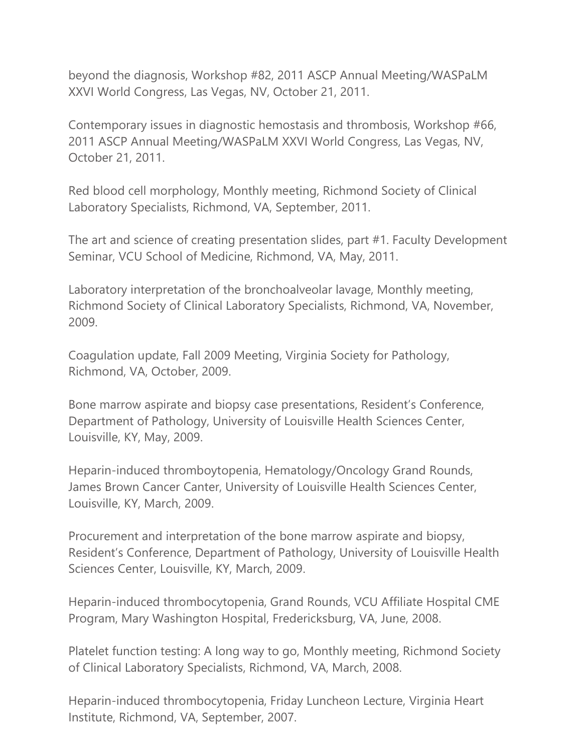beyond the diagnosis, Workshop #82, 2011 ASCP Annual Meeting/WASPaLM XXVI World Congress, Las Vegas, NV, October 21, 2011.

Contemporary issues in diagnostic hemostasis and thrombosis, Workshop #66, 2011 ASCP Annual Meeting/WASPaLM XXVI World Congress, Las Vegas, NV, October 21, 2011.

Red blood cell morphology, Monthly meeting, Richmond Society of Clinical Laboratory Specialists, Richmond, VA, September, 2011.

The art and science of creating presentation slides, part #1. Faculty Development Seminar, VCU School of Medicine, Richmond, VA, May, 2011.

Laboratory interpretation of the bronchoalveolar lavage, Monthly meeting, Richmond Society of Clinical Laboratory Specialists, Richmond, VA, November, 2009.

Coagulation update, Fall 2009 Meeting, Virginia Society for Pathology, Richmond, VA, October, 2009.

Bone marrow aspirate and biopsy case presentations, Resident's Conference, Department of Pathology, University of Louisville Health Sciences Center, Louisville, KY, May, 2009.

Heparin-induced thromboytopenia, Hematology/Oncology Grand Rounds, James Brown Cancer Canter, University of Louisville Health Sciences Center, Louisville, KY, March, 2009.

Procurement and interpretation of the bone marrow aspirate and biopsy, Resident's Conference, Department of Pathology, University of Louisville Health Sciences Center, Louisville, KY, March, 2009.

Heparin-induced thrombocytopenia, Grand Rounds, VCU Affiliate Hospital CME Program, Mary Washington Hospital, Fredericksburg, VA, June, 2008.

Platelet function testing: A long way to go, Monthly meeting, Richmond Society of Clinical Laboratory Specialists, Richmond, VA, March, 2008.

Heparin-induced thrombocytopenia, Friday Luncheon Lecture, Virginia Heart Institute, Richmond, VA, September, 2007.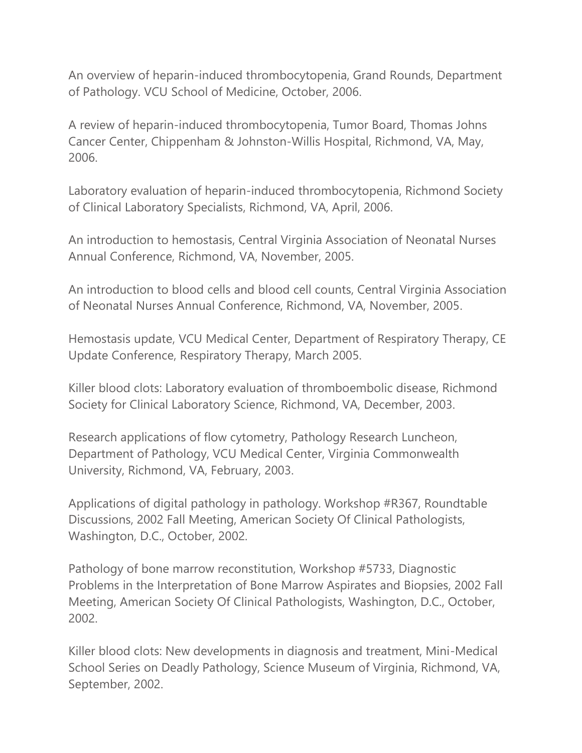An overview of heparin-induced thrombocytopenia, Grand Rounds, Department of Pathology. VCU School of Medicine, October, 2006.

A review of heparin-induced thrombocytopenia, Tumor Board, Thomas Johns Cancer Center, Chippenham & Johnston-Willis Hospital, Richmond, VA, May, 2006.

Laboratory evaluation of heparin-induced thrombocytopenia, Richmond Society of Clinical Laboratory Specialists, Richmond, VA, April, 2006.

An introduction to hemostasis, Central Virginia Association of Neonatal Nurses Annual Conference, Richmond, VA, November, 2005.

An introduction to blood cells and blood cell counts, Central Virginia Association of Neonatal Nurses Annual Conference, Richmond, VA, November, 2005.

Hemostasis update, VCU Medical Center, Department of Respiratory Therapy, CE Update Conference, Respiratory Therapy, March 2005.

Killer blood clots: Laboratory evaluation of thromboembolic disease, Richmond Society for Clinical Laboratory Science, Richmond, VA, December, 2003.

Research applications of flow cytometry, Pathology Research Luncheon, Department of Pathology, VCU Medical Center, Virginia Commonwealth University, Richmond, VA, February, 2003.

Applications of digital pathology in pathology. Workshop #R367, Roundtable Discussions, 2002 Fall Meeting, American Society Of Clinical Pathologists, Washington, D.C., October, 2002.

Pathology of bone marrow reconstitution, Workshop #5733, Diagnostic Problems in the Interpretation of Bone Marrow Aspirates and Biopsies, 2002 Fall Meeting, American Society Of Clinical Pathologists, Washington, D.C., October, 2002.

Killer blood clots: New developments in diagnosis and treatment, Mini-Medical School Series on Deadly Pathology, Science Museum of Virginia, Richmond, VA, September, 2002.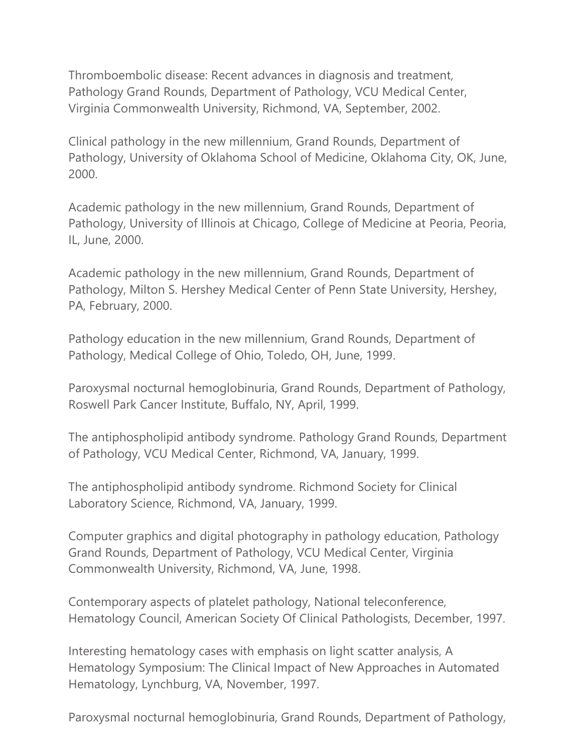Thromboembolic disease: Recent advances in diagnosis and treatment, Pathology Grand Rounds, Department of Pathology, VCU Medical Center, Virginia Commonwealth University, Richmond, VA, September, 2002.

Clinical pathology in the new millennium, Grand Rounds, Department of Pathology, University of Oklahoma School of Medicine, Oklahoma City, OK, June, 2000.

Academic pathology in the new millennium, Grand Rounds, Department of Pathology, University of Illinois at Chicago, College of Medicine at Peoria, Peoria, IL, June, 2000.

Academic pathology in the new millennium, Grand Rounds, Department of Pathology, Milton S. Hershey Medical Center of Penn State University, Hershey, PA, February, 2000.

Pathology education in the new millennium, Grand Rounds, Department of Pathology, Medical College of Ohio, Toledo, OH, June, 1999.

Paroxysmal nocturnal hemoglobinuria, Grand Rounds, Department of Pathology, Roswell Park Cancer Institute, Buffalo, NY, April, 1999.

The antiphospholipid antibody syndrome. Pathology Grand Rounds, Department of Pathology, VCU Medical Center, Richmond, VA, January, 1999.

The antiphospholipid antibody syndrome. Richmond Society for Clinical Laboratory Science, Richmond, VA, January, 1999.

Computer graphics and digital photography in pathology education, Pathology Grand Rounds, Department of Pathology, VCU Medical Center, Virginia Commonwealth University, Richmond, VA, June, 1998.

Contemporary aspects of platelet pathology, National teleconference, Hematology Council, American Society Of Clinical Pathologists, December, 1997.

Interesting hematology cases with emphasis on light scatter analysis, A Hematology Symposium: The Clinical Impact of New Approaches in Automated Hematology, Lynchburg, VA, November, 1997.

Paroxysmal nocturnal hemoglobinuria, Grand Rounds, Department of Pathology,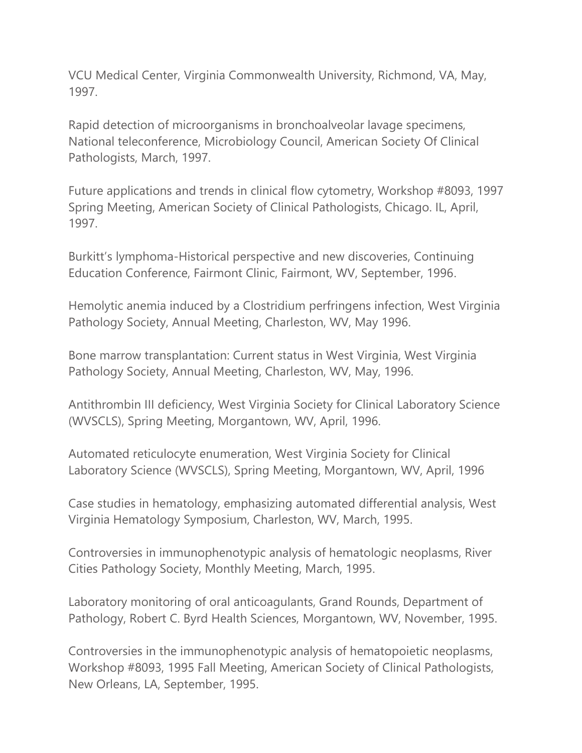VCU Medical Center, Virginia Commonwealth University, Richmond, VA, May, 1997.

Rapid detection of microorganisms in bronchoalveolar lavage specimens, National teleconference, Microbiology Council, American Society Of Clinical Pathologists, March, 1997.

Future applications and trends in clinical flow cytometry, Workshop #8093, 1997 Spring Meeting, American Society of Clinical Pathologists, Chicago. IL, April, 1997.

Burkitt's lymphoma-Historical perspective and new discoveries, Continuing Education Conference, Fairmont Clinic, Fairmont, WV, September, 1996.

Hemolytic anemia induced by a Clostridium perfringens infection, West Virginia Pathology Society, Annual Meeting, Charleston, WV, May 1996.

Bone marrow transplantation: Current status in West Virginia, West Virginia Pathology Society, Annual Meeting, Charleston, WV, May, 1996.

Antithrombin III deficiency, West Virginia Society for Clinical Laboratory Science (WVSCLS), Spring Meeting, Morgantown, WV, April, 1996.

Automated reticulocyte enumeration, West Virginia Society for Clinical Laboratory Science (WVSCLS), Spring Meeting, Morgantown, WV, April, 1996

Case studies in hematology, emphasizing automated differential analysis, West Virginia Hematology Symposium, Charleston, WV, March, 1995.

Controversies in immunophenotypic analysis of hematologic neoplasms, River Cities Pathology Society, Monthly Meeting, March, 1995.

Laboratory monitoring of oral anticoagulants, Grand Rounds, Department of Pathology, Robert C. Byrd Health Sciences, Morgantown, WV, November, 1995.

Controversies in the immunophenotypic analysis of hematopoietic neoplasms, Workshop #8093, 1995 Fall Meeting, American Society of Clinical Pathologists, New Orleans, LA, September, 1995.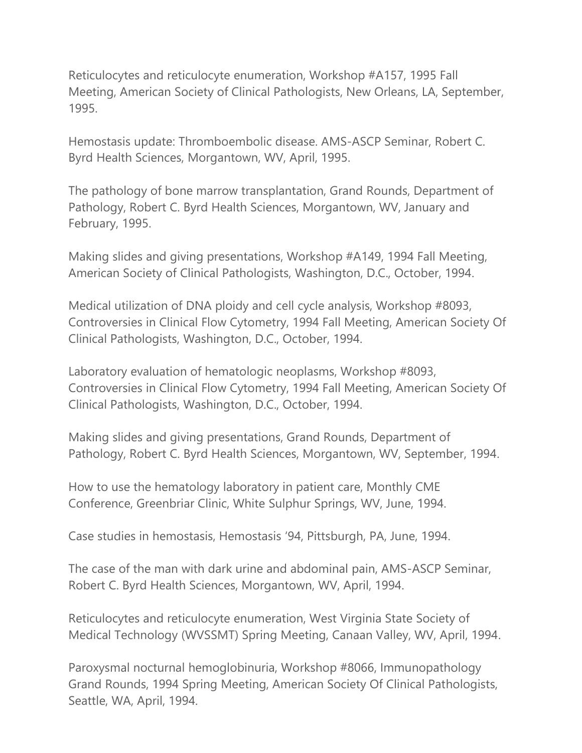Reticulocytes and reticulocyte enumeration, Workshop #A157, 1995 Fall Meeting, American Society of Clinical Pathologists, New Orleans, LA, September, 1995.

Hemostasis update: Thromboembolic disease. AMS-ASCP Seminar, Robert C. Byrd Health Sciences, Morgantown, WV, April, 1995.

The pathology of bone marrow transplantation, Grand Rounds, Department of Pathology, Robert C. Byrd Health Sciences, Morgantown, WV, January and February, 1995.

Making slides and giving presentations, Workshop #A149, 1994 Fall Meeting, American Society of Clinical Pathologists, Washington, D.C., October, 1994.

Medical utilization of DNA ploidy and cell cycle analysis, Workshop #8093, Controversies in Clinical Flow Cytometry, 1994 Fall Meeting, American Society Of Clinical Pathologists, Washington, D.C., October, 1994.

Laboratory evaluation of hematologic neoplasms, Workshop #8093, Controversies in Clinical Flow Cytometry, 1994 Fall Meeting, American Society Of Clinical Pathologists, Washington, D.C., October, 1994.

Making slides and giving presentations, Grand Rounds, Department of Pathology, Robert C. Byrd Health Sciences, Morgantown, WV, September, 1994.

How to use the hematology laboratory in patient care, Monthly CME Conference, Greenbriar Clinic, White Sulphur Springs, WV, June, 1994.

Case studies in hemostasis, Hemostasis '94, Pittsburgh, PA, June, 1994.

The case of the man with dark urine and abdominal pain, AMS-ASCP Seminar, Robert C. Byrd Health Sciences, Morgantown, WV, April, 1994.

Reticulocytes and reticulocyte enumeration, West Virginia State Society of Medical Technology (WVSSMT) Spring Meeting, Canaan Valley, WV, April, 1994.

Paroxysmal nocturnal hemoglobinuria, Workshop #8066, Immunopathology Grand Rounds, 1994 Spring Meeting, American Society Of Clinical Pathologists, Seattle, WA, April, 1994.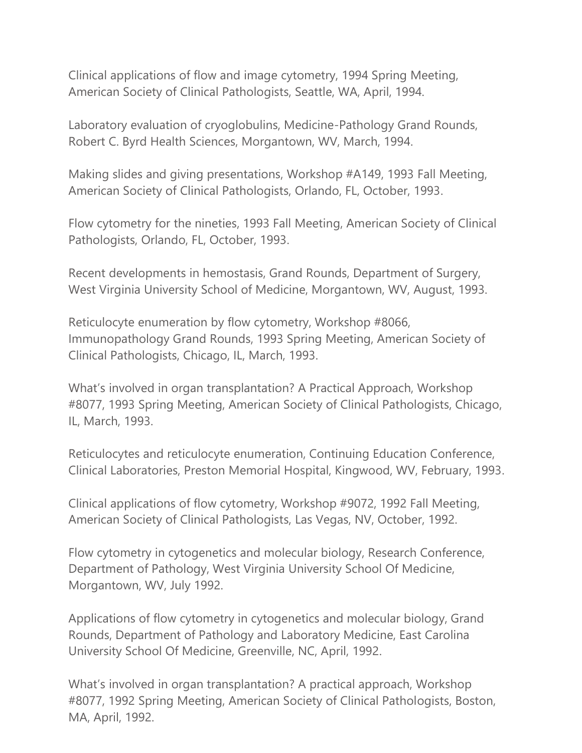Clinical applications of flow and image cytometry, 1994 Spring Meeting, American Society of Clinical Pathologists, Seattle, WA, April, 1994.

Laboratory evaluation of cryoglobulins, Medicine-Pathology Grand Rounds, Robert C. Byrd Health Sciences, Morgantown, WV, March, 1994.

Making slides and giving presentations, Workshop #A149, 1993 Fall Meeting, American Society of Clinical Pathologists, Orlando, FL, October, 1993.

Flow cytometry for the nineties, 1993 Fall Meeting, American Society of Clinical Pathologists, Orlando, FL, October, 1993.

Recent developments in hemostasis, Grand Rounds, Department of Surgery, West Virginia University School of Medicine, Morgantown, WV, August, 1993.

Reticulocyte enumeration by flow cytometry, Workshop #8066, Immunopathology Grand Rounds, 1993 Spring Meeting, American Society of Clinical Pathologists, Chicago, IL, March, 1993.

What's involved in organ transplantation? A Practical Approach, Workshop #8077, 1993 Spring Meeting, American Society of Clinical Pathologists, Chicago, IL, March, 1993.

Reticulocytes and reticulocyte enumeration, Continuing Education Conference, Clinical Laboratories, Preston Memorial Hospital, Kingwood, WV, February, 1993.

Clinical applications of flow cytometry, Workshop #9072, 1992 Fall Meeting, American Society of Clinical Pathologists, Las Vegas, NV, October, 1992.

Flow cytometry in cytogenetics and molecular biology, Research Conference, Department of Pathology, West Virginia University School Of Medicine, Morgantown, WV, July 1992.

Applications of flow cytometry in cytogenetics and molecular biology, Grand Rounds, Department of Pathology and Laboratory Medicine, East Carolina University School Of Medicine, Greenville, NC, April, 1992.

What's involved in organ transplantation? A practical approach, Workshop #8077, 1992 Spring Meeting, American Society of Clinical Pathologists, Boston, MA, April, 1992.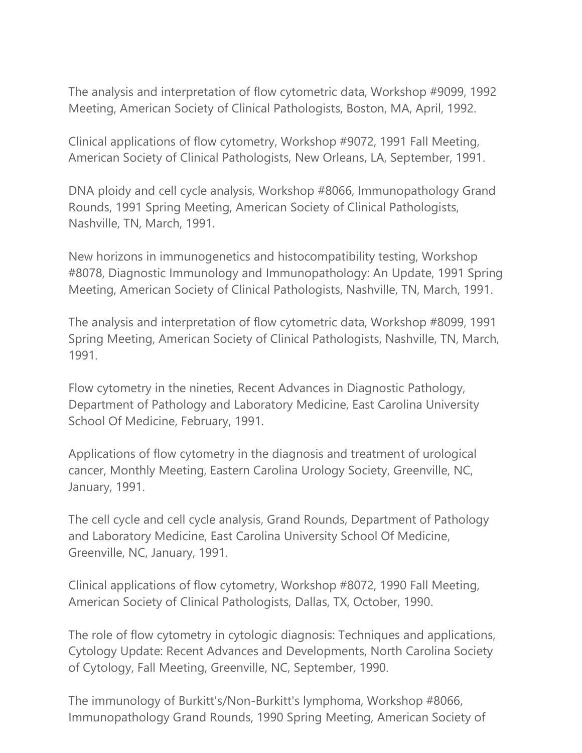The analysis and interpretation of flow cytometric data, Workshop #9099, 1992 Meeting, American Society of Clinical Pathologists, Boston, MA, April, 1992.

Clinical applications of flow cytometry, Workshop #9072, 1991 Fall Meeting, American Society of Clinical Pathologists, New Orleans, LA, September, 1991.

DNA ploidy and cell cycle analysis, Workshop #8066, Immunopathology Grand Rounds, 1991 Spring Meeting, American Society of Clinical Pathologists, Nashville, TN, March, 1991.

New horizons in immunogenetics and histocompatibility testing, Workshop #8078, Diagnostic Immunology and Immunopathology: An Update, 1991 Spring Meeting, American Society of Clinical Pathologists, Nashville, TN, March, 1991.

The analysis and interpretation of flow cytometric data, Workshop #8099, 1991 Spring Meeting, American Society of Clinical Pathologists, Nashville, TN, March, 1991.

Flow cytometry in the nineties, Recent Advances in Diagnostic Pathology, Department of Pathology and Laboratory Medicine, East Carolina University School Of Medicine, February, 1991.

Applications of flow cytometry in the diagnosis and treatment of urological cancer, Monthly Meeting, Eastern Carolina Urology Society, Greenville, NC, January, 1991.

The cell cycle and cell cycle analysis, Grand Rounds, Department of Pathology and Laboratory Medicine, East Carolina University School Of Medicine, Greenville, NC, January, 1991.

Clinical applications of flow cytometry, Workshop #8072, 1990 Fall Meeting, American Society of Clinical Pathologists, Dallas, TX, October, 1990.

The role of flow cytometry in cytologic diagnosis: Techniques and applications, Cytology Update: Recent Advances and Developments, North Carolina Society of Cytology, Fall Meeting, Greenville, NC, September, 1990.

The immunology of Burkitt's/Non-Burkitt's lymphoma, Workshop #8066, Immunopathology Grand Rounds, 1990 Spring Meeting, American Society of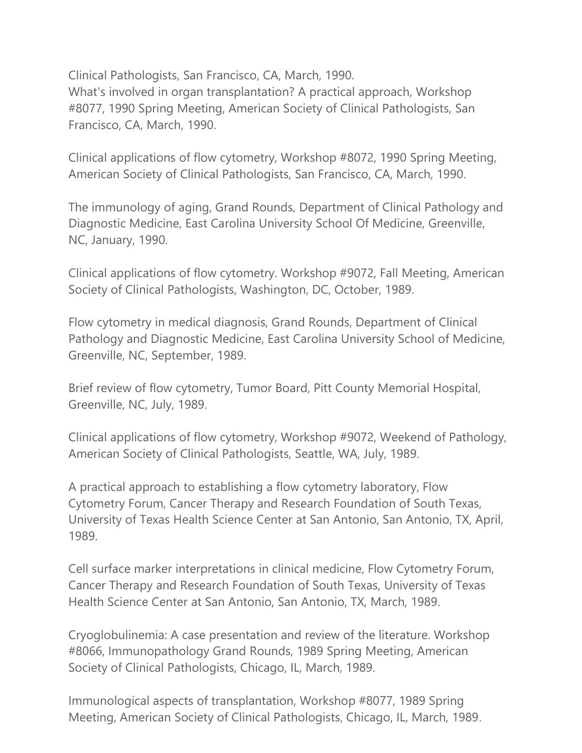Clinical Pathologists, San Francisco, CA, March, 1990. What's involved in organ transplantation? A practical approach, Workshop #8077, 1990 Spring Meeting, American Society of Clinical Pathologists, San Francisco, CA, March, 1990.

Clinical applications of flow cytometry, Workshop #8072, 1990 Spring Meeting, American Society of Clinical Pathologists, San Francisco, CA, March, 1990.

The immunology of aging, Grand Rounds, Department of Clinical Pathology and Diagnostic Medicine, East Carolina University School Of Medicine, Greenville, NC, January, 1990.

Clinical applications of flow cytometry. Workshop #9072, Fall Meeting, American Society of Clinical Pathologists, Washington, DC, October, 1989.

Flow cytometry in medical diagnosis, Grand Rounds, Department of Clinical Pathology and Diagnostic Medicine, East Carolina University School of Medicine, Greenville, NC, September, 1989.

Brief review of flow cytometry, Tumor Board, Pitt County Memorial Hospital, Greenville, NC, July, 1989.

Clinical applications of flow cytometry, Workshop #9072, Weekend of Pathology, American Society of Clinical Pathologists, Seattle, WA, July, 1989.

A practical approach to establishing a flow cytometry laboratory, Flow Cytometry Forum, Cancer Therapy and Research Foundation of South Texas, University of Texas Health Science Center at San Antonio, San Antonio, TX, April, 1989.

Cell surface marker interpretations in clinical medicine, Flow Cytometry Forum, Cancer Therapy and Research Foundation of South Texas, University of Texas Health Science Center at San Antonio, San Antonio, TX, March, 1989.

Cryoglobulinemia: A case presentation and review of the literature. Workshop #8066, Immunopathology Grand Rounds, 1989 Spring Meeting, American Society of Clinical Pathologists, Chicago, IL, March, 1989.

Immunological aspects of transplantation, Workshop #8077, 1989 Spring Meeting, American Society of Clinical Pathologists, Chicago, IL, March, 1989.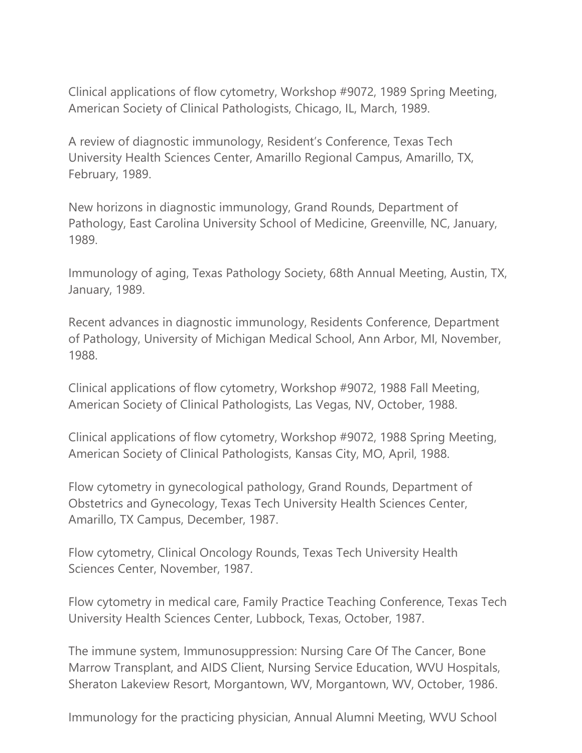Clinical applications of flow cytometry, Workshop #9072, 1989 Spring Meeting, American Society of Clinical Pathologists, Chicago, IL, March, 1989.

A review of diagnostic immunology, Resident's Conference, Texas Tech University Health Sciences Center, Amarillo Regional Campus, Amarillo, TX, February, 1989.

New horizons in diagnostic immunology, Grand Rounds, Department of Pathology, East Carolina University School of Medicine, Greenville, NC, January, 1989.

Immunology of aging, Texas Pathology Society, 68th Annual Meeting, Austin, TX, January, 1989.

Recent advances in diagnostic immunology, Residents Conference, Department of Pathology, University of Michigan Medical School, Ann Arbor, MI, November, 1988.

Clinical applications of flow cytometry, Workshop #9072, 1988 Fall Meeting, American Society of Clinical Pathologists, Las Vegas, NV, October, 1988.

Clinical applications of flow cytometry, Workshop #9072, 1988 Spring Meeting, American Society of Clinical Pathologists, Kansas City, MO, April, 1988.

Flow cytometry in gynecological pathology, Grand Rounds, Department of Obstetrics and Gynecology, Texas Tech University Health Sciences Center, Amarillo, TX Campus, December, 1987.

Flow cytometry, Clinical Oncology Rounds, Texas Tech University Health Sciences Center, November, 1987.

Flow cytometry in medical care, Family Practice Teaching Conference, Texas Tech University Health Sciences Center, Lubbock, Texas, October, 1987.

The immune system, Immunosuppression: Nursing Care Of The Cancer, Bone Marrow Transplant, and AIDS Client, Nursing Service Education, WVU Hospitals, Sheraton Lakeview Resort, Morgantown, WV, Morgantown, WV, October, 1986.

Immunology for the practicing physician, Annual Alumni Meeting, WVU School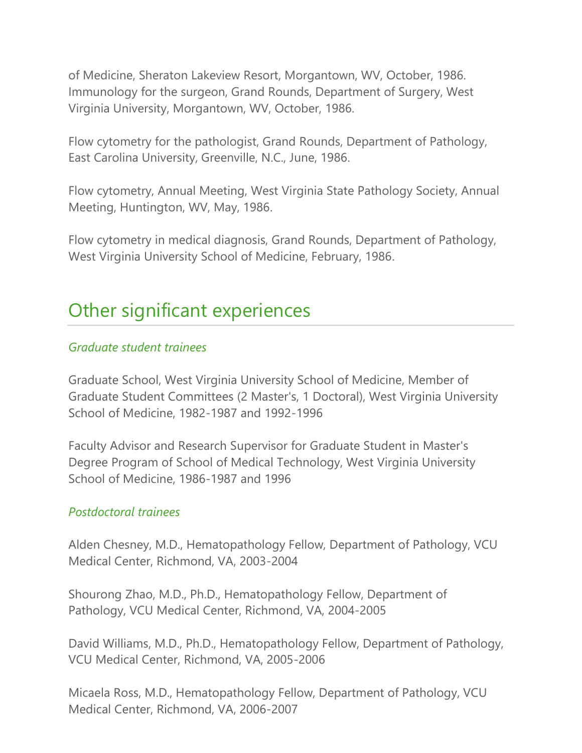of Medicine, Sheraton Lakeview Resort, Morgantown, WV, October, 1986. Immunology for the surgeon, Grand Rounds, Department of Surgery, West Virginia University, Morgantown, WV, October, 1986.

Flow cytometry for the pathologist, Grand Rounds, Department of Pathology, East Carolina University, Greenville, N.C., June, 1986.

Flow cytometry, Annual Meeting, West Virginia State Pathology Society, Annual Meeting, Huntington, WV, May, 1986.

Flow cytometry in medical diagnosis, Grand Rounds, Department of Pathology, West Virginia University School of Medicine, February, 1986.

### Other significant experiences

### *Graduate student trainees*

Graduate School, West Virginia University School of Medicine, Member of Graduate Student Committees (2 Master's, 1 Doctoral), West Virginia University School of Medicine, 1982-1987 and 1992-1996

Faculty Advisor and Research Supervisor for Graduate Student in Master's Degree Program of School of Medical Technology, West Virginia University School of Medicine, 1986-1987 and 1996

### *Postdoctoral trainees*

Alden Chesney, M.D., Hematopathology Fellow, Department of Pathology, VCU Medical Center, Richmond, VA, 2003-2004

Shourong Zhao, M.D., Ph.D., Hematopathology Fellow, Department of Pathology, VCU Medical Center, Richmond, VA, 2004-2005

David Williams, M.D., Ph.D., Hematopathology Fellow, Department of Pathology, VCU Medical Center, Richmond, VA, 2005-2006

Micaela Ross, M.D., Hematopathology Fellow, Department of Pathology, VCU Medical Center, Richmond, VA, 2006-2007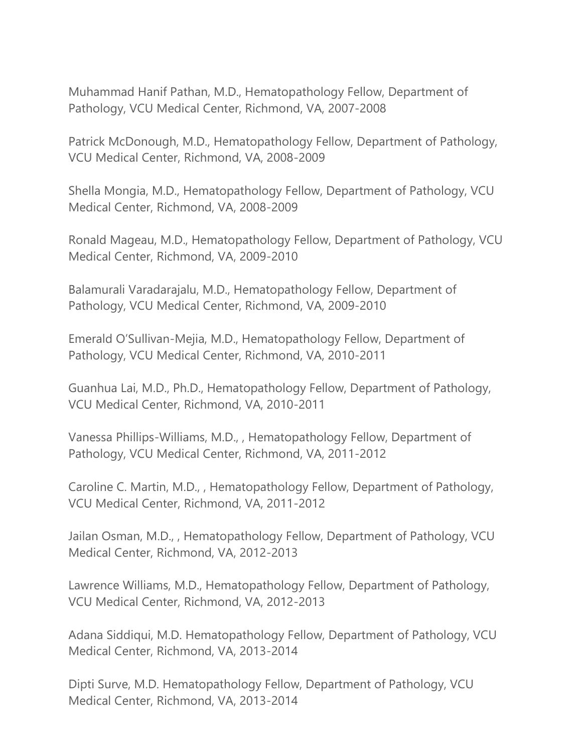Muhammad Hanif Pathan, M.D., Hematopathology Fellow, Department of Pathology, VCU Medical Center, Richmond, VA, 2007-2008

Patrick McDonough, M.D., Hematopathology Fellow, Department of Pathology, VCU Medical Center, Richmond, VA, 2008-2009

Shella Mongia, M.D., Hematopathology Fellow, Department of Pathology, VCU Medical Center, Richmond, VA, 2008-2009

Ronald Mageau, M.D., Hematopathology Fellow, Department of Pathology, VCU Medical Center, Richmond, VA, 2009-2010

Balamurali Varadarajalu, M.D., Hematopathology Fellow, Department of Pathology, VCU Medical Center, Richmond, VA, 2009-2010

Emerald O'Sullivan-Mejia, M.D., Hematopathology Fellow, Department of Pathology, VCU Medical Center, Richmond, VA, 2010-2011

Guanhua Lai, M.D., Ph.D., Hematopathology Fellow, Department of Pathology, VCU Medical Center, Richmond, VA, 2010-2011

Vanessa Phillips-Williams, M.D., , Hematopathology Fellow, Department of Pathology, VCU Medical Center, Richmond, VA, 2011-2012

Caroline C. Martin, M.D., , Hematopathology Fellow, Department of Pathology, VCU Medical Center, Richmond, VA, 2011-2012

Jailan Osman, M.D., , Hematopathology Fellow, Department of Pathology, VCU Medical Center, Richmond, VA, 2012-2013

Lawrence Williams, M.D., Hematopathology Fellow, Department of Pathology, VCU Medical Center, Richmond, VA, 2012-2013

Adana Siddiqui, M.D. Hematopathology Fellow, Department of Pathology, VCU Medical Center, Richmond, VA, 2013-2014

Dipti Surve, M.D. Hematopathology Fellow, Department of Pathology, VCU Medical Center, Richmond, VA, 2013-2014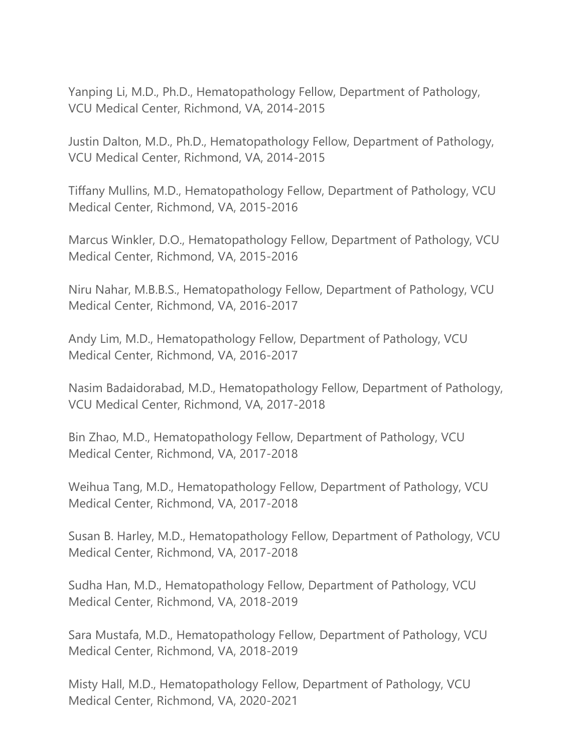Yanping Li, M.D., Ph.D., Hematopathology Fellow, Department of Pathology, VCU Medical Center, Richmond, VA, 2014-2015

Justin Dalton, M.D., Ph.D., Hematopathology Fellow, Department of Pathology, VCU Medical Center, Richmond, VA, 2014-2015

Tiffany Mullins, M.D., Hematopathology Fellow, Department of Pathology, VCU Medical Center, Richmond, VA, 2015-2016

Marcus Winkler, D.O., Hematopathology Fellow, Department of Pathology, VCU Medical Center, Richmond, VA, 2015-2016

Niru Nahar, M.B.B.S., Hematopathology Fellow, Department of Pathology, VCU Medical Center, Richmond, VA, 2016-2017

Andy Lim, M.D., Hematopathology Fellow, Department of Pathology, VCU Medical Center, Richmond, VA, 2016-2017

Nasim Badaidorabad, M.D., Hematopathology Fellow, Department of Pathology, VCU Medical Center, Richmond, VA, 2017-2018

Bin Zhao, M.D., Hematopathology Fellow, Department of Pathology, VCU Medical Center, Richmond, VA, 2017-2018

Weihua Tang, M.D., Hematopathology Fellow, Department of Pathology, VCU Medical Center, Richmond, VA, 2017-2018

Susan B. Harley, M.D., Hematopathology Fellow, Department of Pathology, VCU Medical Center, Richmond, VA, 2017-2018

Sudha Han, M.D., Hematopathology Fellow, Department of Pathology, VCU Medical Center, Richmond, VA, 2018-2019

Sara Mustafa, M.D., Hematopathology Fellow, Department of Pathology, VCU Medical Center, Richmond, VA, 2018-2019

Misty Hall, M.D., Hematopathology Fellow, Department of Pathology, VCU Medical Center, Richmond, VA, 2020-2021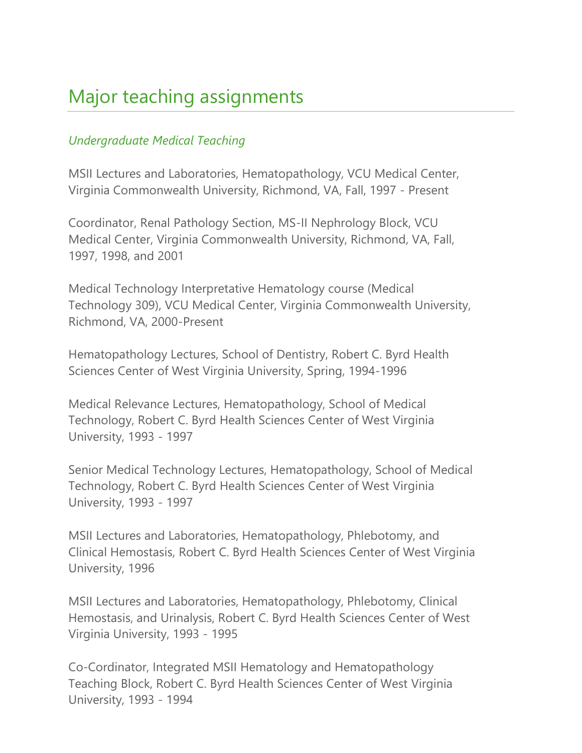# Major teaching assignments

### *Undergraduate Medical Teaching*

MSII Lectures and Laboratories, Hematopathology, VCU Medical Center, Virginia Commonwealth University, Richmond, VA, Fall, 1997 - Present

Coordinator, Renal Pathology Section, MS-II Nephrology Block, VCU Medical Center, Virginia Commonwealth University, Richmond, VA, Fall, 1997, 1998, and 2001

Medical Technology Interpretative Hematology course (Medical Technology 309), VCU Medical Center, Virginia Commonwealth University, Richmond, VA, 2000-Present

Hematopathology Lectures, School of Dentistry, Robert C. Byrd Health Sciences Center of West Virginia University, Spring, 1994-1996

Medical Relevance Lectures, Hematopathology, School of Medical Technology, Robert C. Byrd Health Sciences Center of West Virginia University, 1993 - 1997

Senior Medical Technology Lectures, Hematopathology, School of Medical Technology, Robert C. Byrd Health Sciences Center of West Virginia University, 1993 - 1997

MSII Lectures and Laboratories, Hematopathology, Phlebotomy, and Clinical Hemostasis, Robert C. Byrd Health Sciences Center of West Virginia University, 1996

MSII Lectures and Laboratories, Hematopathology, Phlebotomy, Clinical Hemostasis, and Urinalysis, Robert C. Byrd Health Sciences Center of West Virginia University, 1993 - 1995

Co-Cordinator, Integrated MSII Hematology and Hematopathology Teaching Block, Robert C. Byrd Health Sciences Center of West Virginia University, 1993 - 1994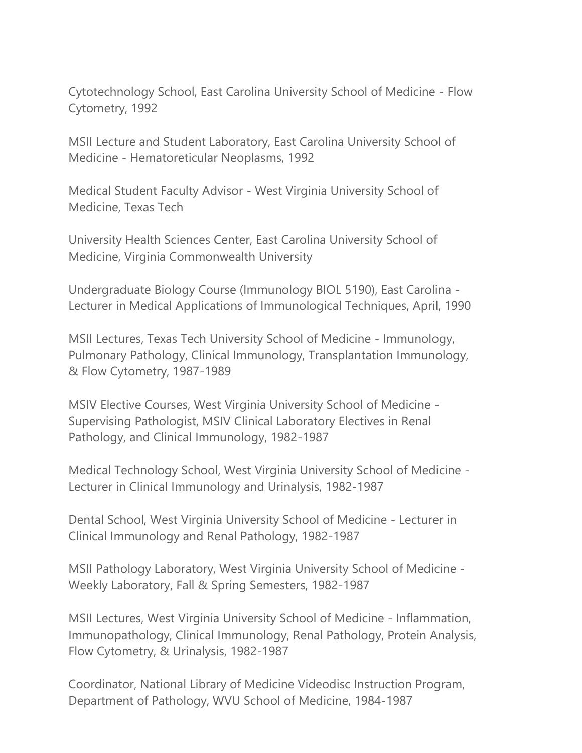Cytotechnology School, East Carolina University School of Medicine - Flow Cytometry, 1992

MSII Lecture and Student Laboratory, East Carolina University School of Medicine - Hematoreticular Neoplasms, 1992

Medical Student Faculty Advisor - West Virginia University School of Medicine, Texas Tech

University Health Sciences Center, East Carolina University School of Medicine, Virginia Commonwealth University

Undergraduate Biology Course (Immunology BIOL 5190), East Carolina - Lecturer in Medical Applications of Immunological Techniques, April, 1990

MSII Lectures, Texas Tech University School of Medicine - Immunology, Pulmonary Pathology, Clinical Immunology, Transplantation Immunology, & Flow Cytometry, 1987-1989

MSIV Elective Courses, West Virginia University School of Medicine - Supervising Pathologist, MSIV Clinical Laboratory Electives in Renal Pathology, and Clinical Immunology, 1982-1987

Medical Technology School, West Virginia University School of Medicine - Lecturer in Clinical Immunology and Urinalysis, 1982-1987

Dental School, West Virginia University School of Medicine - Lecturer in Clinical Immunology and Renal Pathology, 1982-1987

MSII Pathology Laboratory, West Virginia University School of Medicine - Weekly Laboratory, Fall & Spring Semesters, 1982-1987

MSII Lectures, West Virginia University School of Medicine - Inflammation, Immunopathology, Clinical Immunology, Renal Pathology, Protein Analysis, Flow Cytometry, & Urinalysis, 1982-1987

Coordinator, National Library of Medicine Videodisc Instruction Program, Department of Pathology, WVU School of Medicine, 1984-1987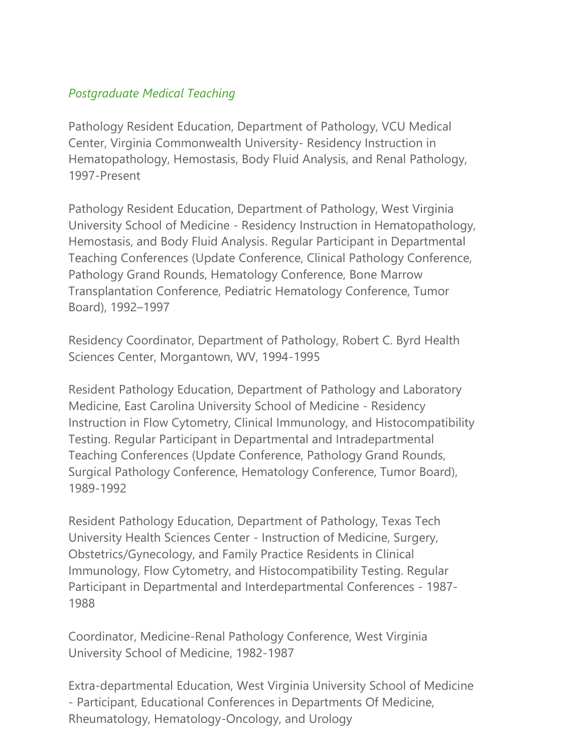### *Postgraduate Medical Teaching*

Pathology Resident Education, Department of Pathology, VCU Medical Center, Virginia Commonwealth University- Residency Instruction in Hematopathology, Hemostasis, Body Fluid Analysis, and Renal Pathology, 1997-Present

Pathology Resident Education, Department of Pathology, West Virginia University School of Medicine - Residency Instruction in Hematopathology, Hemostasis, and Body Fluid Analysis. Regular Participant in Departmental Teaching Conferences (Update Conference, Clinical Pathology Conference, Pathology Grand Rounds, Hematology Conference, Bone Marrow Transplantation Conference, Pediatric Hematology Conference, Tumor Board), 1992–1997

Residency Coordinator, Department of Pathology, Robert C. Byrd Health Sciences Center, Morgantown, WV, 1994-1995

Resident Pathology Education, Department of Pathology and Laboratory Medicine, East Carolina University School of Medicine - Residency Instruction in Flow Cytometry, Clinical Immunology, and Histocompatibility Testing. Regular Participant in Departmental and Intradepartmental Teaching Conferences (Update Conference, Pathology Grand Rounds, Surgical Pathology Conference, Hematology Conference, Tumor Board), 1989-1992

Resident Pathology Education, Department of Pathology, Texas Tech University Health Sciences Center - Instruction of Medicine, Surgery, Obstetrics/Gynecology, and Family Practice Residents in Clinical Immunology, Flow Cytometry, and Histocompatibility Testing. Regular Participant in Departmental and Interdepartmental Conferences - 1987- 1988

Coordinator, Medicine-Renal Pathology Conference, West Virginia University School of Medicine, 1982-1987

Extra-departmental Education, West Virginia University School of Medicine - Participant, Educational Conferences in Departments Of Medicine, Rheumatology, Hematology-Oncology, and Urology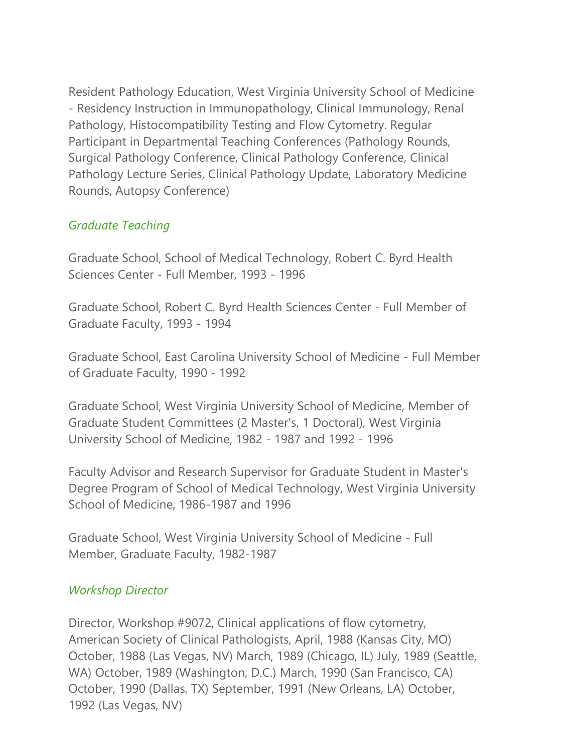Resident Pathology Education, West Virginia University School of Medicine - Residency Instruction in Immunopathology, Clinical Immunology, Renal Pathology, Histocompatibility Testing and Flow Cytometry. Regular Participant in Departmental Teaching Conferences (Pathology Rounds, Surgical Pathology Conference, Clinical Pathology Conference, Clinical Pathology Lecture Series, Clinical Pathology Update, Laboratory Medicine Rounds, Autopsy Conference)

### *Graduate Teaching*

Graduate School, School of Medical Technology, Robert C. Byrd Health Sciences Center - Full Member, 1993 - 1996

Graduate School, Robert C. Byrd Health Sciences Center - Full Member of Graduate Faculty, 1993 - 1994

Graduate School, East Carolina University School of Medicine - Full Member of Graduate Faculty, 1990 - 1992

Graduate School, West Virginia University School of Medicine, Member of Graduate Student Committees (2 Master's, 1 Doctoral), West Virginia University School of Medicine, 1982 - 1987 and 1992 - 1996

Faculty Advisor and Research Supervisor for Graduate Student in Master's Degree Program of School of Medical Technology, West Virginia University School of Medicine, 1986-1987 and 1996

Graduate School, West Virginia University School of Medicine - Full Member, Graduate Faculty, 1982-1987

### *Workshop Director*

Director, Workshop #9072, Clinical applications of flow cytometry, American Society of Clinical Pathologists, April, 1988 (Kansas City, MO) October, 1988 (Las Vegas, NV) March, 1989 (Chicago, IL) July, 1989 (Seattle, WA) October, 1989 (Washington, D.C.) March, 1990 (San Francisco, CA) October, 1990 (Dallas, TX) September, 1991 (New Orleans, LA) October, 1992 (Las Vegas, NV)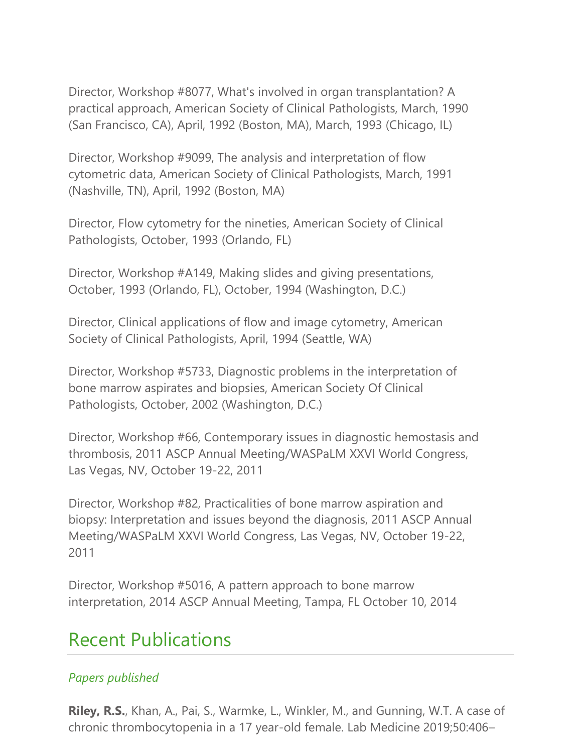Director, Workshop #8077, What's involved in organ transplantation? A practical approach, American Society of Clinical Pathologists, March, 1990 (San Francisco, CA), April, 1992 (Boston, MA), March, 1993 (Chicago, IL)

Director, Workshop #9099, The analysis and interpretation of flow cytometric data, American Society of Clinical Pathologists, March, 1991 (Nashville, TN), April, 1992 (Boston, MA)

Director, Flow cytometry for the nineties, American Society of Clinical Pathologists, October, 1993 (Orlando, FL)

Director, Workshop #A149, Making slides and giving presentations, October, 1993 (Orlando, FL), October, 1994 (Washington, D.C.)

Director, Clinical applications of flow and image cytometry, American Society of Clinical Pathologists, April, 1994 (Seattle, WA)

Director, Workshop #5733, Diagnostic problems in the interpretation of bone marrow aspirates and biopsies, American Society Of Clinical Pathologists, October, 2002 (Washington, D.C.)

Director, Workshop #66, Contemporary issues in diagnostic hemostasis and thrombosis, 2011 ASCP Annual Meeting/WASPaLM XXVI World Congress, Las Vegas, NV, October 19-22, 2011

Director, Workshop #82, Practicalities of bone marrow aspiration and biopsy: Interpretation and issues beyond the diagnosis, 2011 ASCP Annual Meeting/WASPaLM XXVI World Congress, Las Vegas, NV, October 19-22, 2011

Director, Workshop #5016, A pattern approach to bone marrow interpretation, 2014 ASCP Annual Meeting, Tampa, FL October 10, 2014

### Recent Publications

### *Papers published*

**Riley, R.S.**, Khan, A., Pai, S., Warmke, L., Winkler, M., and Gunning, W.T. A case of chronic thrombocytopenia in a 17 year-old female. Lab Medicine 2019;50:406–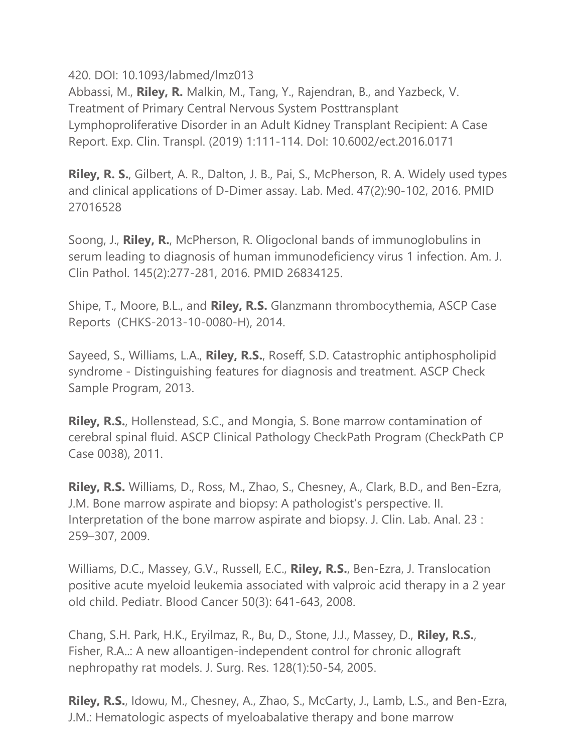420. DOI: 10.1093/labmed/lmz013

Abbassi, M., **Riley, R.** Malkin, M., Tang, Y., Rajendran, B., and Yazbeck, V. Treatment of Primary Central Nervous System Posttransplant Lymphoproliferative Disorder in an Adult Kidney Transplant Recipient: A Case Report. Exp. Clin. Transpl. (2019) 1:111-114. DoI: 10.6002/ect.2016.0171

**Riley, R. S.**, Gilbert, A. R., Dalton, J. B., Pai, S., McPherson, R. A. Widely used types and clinical applications of D-Dimer assay. Lab. Med. 47(2):90-102, 2016. PMID 27016528

Soong, J., **Riley, R.**, McPherson, R. Oligoclonal bands of immunoglobulins in serum leading to diagnosis of human immunodeficiency virus 1 infection. Am. J. Clin Pathol. 145(2):277-281, 2016. PMID 26834125.

Shipe, T., Moore, B.L., and **Riley, R.S.** Glanzmann thrombocythemia, ASCP Case Reports (CHKS-2013-10-0080-H), 2014.

Sayeed, S., Williams, L.A., **Riley, R.S.**, Roseff, S.D. Catastrophic antiphospholipid syndrome - Distinguishing features for diagnosis and treatment. ASCP Check Sample Program, 2013.

**Riley, R.S.**, Hollenstead, S.C., and Mongia, S. Bone marrow contamination of cerebral spinal fluid. ASCP Clinical Pathology CheckPath Program (CheckPath CP Case 0038), 2011.

**Riley, R.S.** Williams, D., Ross, M., Zhao, S., Chesney, A., Clark, B.D., and Ben-Ezra, J.M. Bone marrow aspirate and biopsy: A pathologist's perspective. II. Interpretation of the bone marrow aspirate and biopsy. J. Clin. Lab. Anal. 23 : 259–307, 2009.

Williams, D.C., Massey, G.V., Russell, E.C., **Riley, R.S.**, Ben-Ezra, J. Translocation positive acute myeloid leukemia associated with valproic acid therapy in a 2 year old child. Pediatr. Blood Cancer 50(3): 641-643, 2008.

Chang, S.H. Park, H.K., Eryilmaz, R., Bu, D., Stone, J.J., Massey, D., **Riley, R.S.**, Fisher, R.A..: A new alloantigen-independent control for chronic allograft nephropathy rat models. J. Surg. Res. 128(1):50-54, 2005.

**Riley, R.S.**, Idowu, M., Chesney, A., Zhao, S., McCarty, J., Lamb, L.S., and Ben-Ezra, J.M.: Hematologic aspects of myeloabalative therapy and bone marrow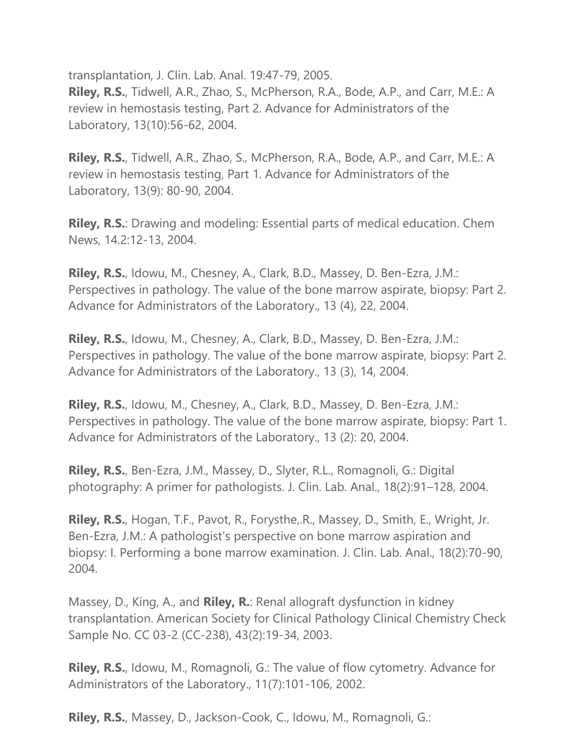transplantation, J. Clin. Lab. Anal. 19:47-79, 2005. **Riley, R.S.**, Tidwell, A.R., Zhao, S., McPherson, R.A., Bode, A.P., and Carr, M.E.: A review in hemostasis testing, Part 2. Advance for Administrators of the Laboratory, 13(10):56-62, 2004.

**Riley, R.S.**, Tidwell, A.R., Zhao, S., McPherson, R.A., Bode, A.P., and Carr, M.E.: A review in hemostasis testing, Part 1. Advance for Administrators of the Laboratory, 13(9): 80-90, 2004.

**Riley, R.S.**: Drawing and modeling: Essential parts of medical education. Chem News, 14.2:12-13, 2004.

**Riley, R.S.**, Idowu, M., Chesney, A., Clark, B.D., Massey, D. Ben-Ezra, J.M.: Perspectives in pathology. The value of the bone marrow aspirate, biopsy: Part 2. Advance for Administrators of the Laboratory., 13 (4), 22, 2004.

**Riley, R.S.**, Idowu, M., Chesney, A., Clark, B.D., Massey, D. Ben-Ezra, J.M.: Perspectives in pathology. The value of the bone marrow aspirate, biopsy: Part 2. Advance for Administrators of the Laboratory., 13 (3), 14, 2004.

**Riley, R.S.**, Idowu, M., Chesney, A., Clark, B.D., Massey, D. Ben-Ezra, J.M.: Perspectives in pathology. The value of the bone marrow aspirate, biopsy: Part 1. Advance for Administrators of the Laboratory., 13 (2): 20, 2004.

**Riley, R.S.**, Ben-Ezra, J.M., Massey, D., Slyter, R.L., Romagnoli, G.: Digital photography: A primer for pathologists. J. Clin. Lab. Anal., 18(2):91–128, 2004.

**Riley, R.S.**, Hogan, T.F., Pavot, R., Forysthe,.R., Massey, D., Smith, E., Wright, Jr. Ben-Ezra, J.M.: A pathologist's perspective on bone marrow aspiration and biopsy: I. Performing a bone marrow examination. J. Clin. Lab. Anal., 18(2):70-90, 2004.

Massey, D., King, A., and **Riley, R.**: Renal allograft dysfunction in kidney transplantation. American Society for Clinical Pathology Clinical Chemistry Check Sample No. CC 03-2 (CC-238), 43(2):19-34, 2003.

**Riley, R.S.**, Idowu, M., Romagnoli, G.: The value of flow cytometry. Advance for Administrators of the Laboratory., 11(7):101-106, 2002.

**Riley, R.S.**, Massey, D., Jackson-Cook, C., Idowu, M., Romagnoli, G.: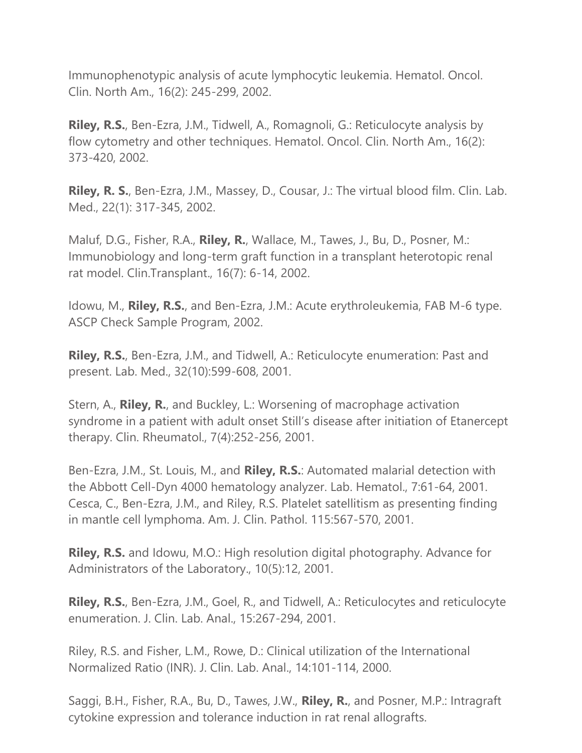Immunophenotypic analysis of acute lymphocytic leukemia. Hematol. Oncol. Clin. North Am., 16(2): 245-299, 2002.

**Riley, R.S.**, Ben-Ezra, J.M., Tidwell, A., Romagnoli, G.: Reticulocyte analysis by flow cytometry and other techniques. Hematol. Oncol. Clin. North Am., 16(2): 373-420, 2002.

**Riley, R. S.**, Ben-Ezra, J.M., Massey, D., Cousar, J.: The virtual blood film. Clin. Lab. Med., 22(1): 317-345, 2002.

Maluf, D.G., Fisher, R.A., **Riley, R.**, Wallace, M., Tawes, J., Bu, D., Posner, M.: Immunobiology and long-term graft function in a transplant heterotopic renal rat model. Clin.Transplant., 16(7): 6-14, 2002.

Idowu, M., **Riley, R.S.**, and Ben-Ezra, J.M.: Acute erythroleukemia, FAB M-6 type. ASCP Check Sample Program, 2002.

**Riley, R.S.**, Ben-Ezra, J.M., and Tidwell, A.: Reticulocyte enumeration: Past and present. Lab. Med., 32(10):599-608, 2001.

Stern, A., **Riley, R.**, and Buckley, L.: Worsening of macrophage activation syndrome in a patient with adult onset Still's disease after initiation of Etanercept therapy. Clin. Rheumatol., 7(4):252-256, 2001.

Ben-Ezra, J.M., St. Louis, M., and **Riley, R.S.**: Automated malarial detection with the Abbott Cell-Dyn 4000 hematology analyzer. Lab. Hematol., 7:61-64, 2001. Cesca, C., Ben-Ezra, J.M., and Riley, R.S. Platelet satellitism as presenting finding in mantle cell lymphoma. Am. J. Clin. Pathol. 115:567-570, 2001.

**Riley, R.S.** and Idowu, M.O.: High resolution digital photography. Advance for Administrators of the Laboratory., 10(5):12, 2001.

**Riley, R.S.**, Ben-Ezra, J.M., Goel, R., and Tidwell, A.: Reticulocytes and reticulocyte enumeration. J. Clin. Lab. Anal., 15:267-294, 2001.

Riley, R.S. and Fisher, L.M., Rowe, D.: Clinical utilization of the International Normalized Ratio (INR). J. Clin. Lab. Anal., 14:101-114, 2000.

Saggi, B.H., Fisher, R.A., Bu, D., Tawes, J.W., **Riley, R.**, and Posner, M.P.: Intragraft cytokine expression and tolerance induction in rat renal allografts.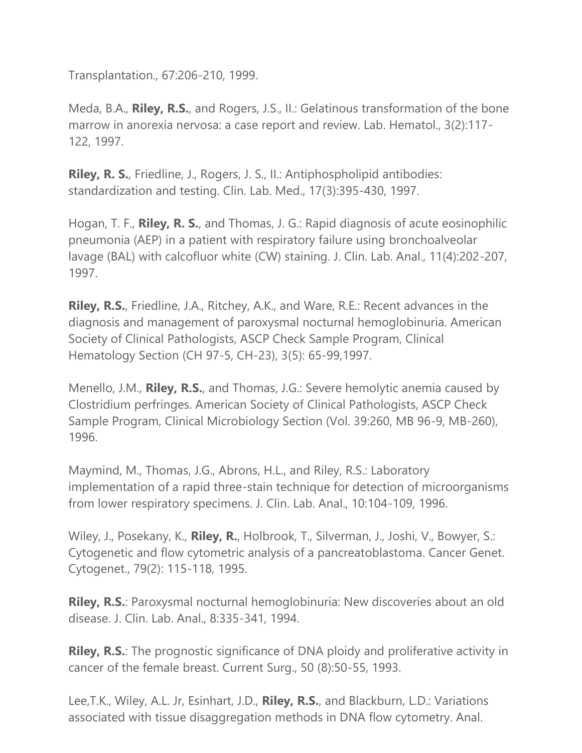Transplantation., 67:206-210, 1999.

Meda, B.A., **Riley, R.S.**, and Rogers, J.S., II.: Gelatinous transformation of the bone marrow in anorexia nervosa: a case report and review. Lab. Hematol., 3(2):117- 122, 1997.

**Riley, R. S.**, Friedline, J., Rogers, J. S., II.: Antiphospholipid antibodies: standardization and testing. Clin. Lab. Med., 17(3):395-430, 1997.

Hogan, T. F., **Riley, R. S.**, and Thomas, J. G.: Rapid diagnosis of acute eosinophilic pneumonia (AEP) in a patient with respiratory failure using bronchoalveolar lavage (BAL) with calcofluor white (CW) staining. J. Clin. Lab. Anal., 11(4):202-207, 1997.

**Riley, R.S.**, Friedline, J.A., Ritchey, A.K., and Ware, R.E.: Recent advances in the diagnosis and management of paroxysmal nocturnal hemoglobinuria. American Society of Clinical Pathologists, ASCP Check Sample Program, Clinical Hematology Section (CH 97-5, CH-23), 3(5): 65-99,1997.

Menello, J.M., **Riley, R.S.**, and Thomas, J.G.: Severe hemolytic anemia caused by Clostridium perfringes. American Society of Clinical Pathologists, ASCP Check Sample Program, Clinical Microbiology Section (Vol. 39:260, MB 96-9, MB-260), 1996.

Maymind, M., Thomas, J.G., Abrons, H.L., and Riley, R.S.: Laboratory implementation of a rapid three-stain technique for detection of microorganisms from lower respiratory specimens. J. Clin. Lab. Anal., 10:104-109, 1996.

Wiley, J., Posekany, K., **Riley, R.**, Holbrook, T., Silverman, J., Joshi, V., Bowyer, S.: Cytogenetic and flow cytometric analysis of a pancreatoblastoma. Cancer Genet. Cytogenet., 79(2): 115-118, 1995.

**Riley, R.S.**: Paroxysmal nocturnal hemoglobinuria: New discoveries about an old disease. J. Clin. Lab. Anal., 8:335-341, 1994.

**Riley, R.S.:** The prognostic significance of DNA ploidy and proliferative activity in cancer of the female breast. Current Surg., 50 (8):50-55, 1993.

Lee,T.K., Wiley, A.L. Jr, Esinhart, J.D., **Riley, R.S.**, and Blackburn, L.D.: Variations associated with tissue disaggregation methods in DNA flow cytometry. Anal.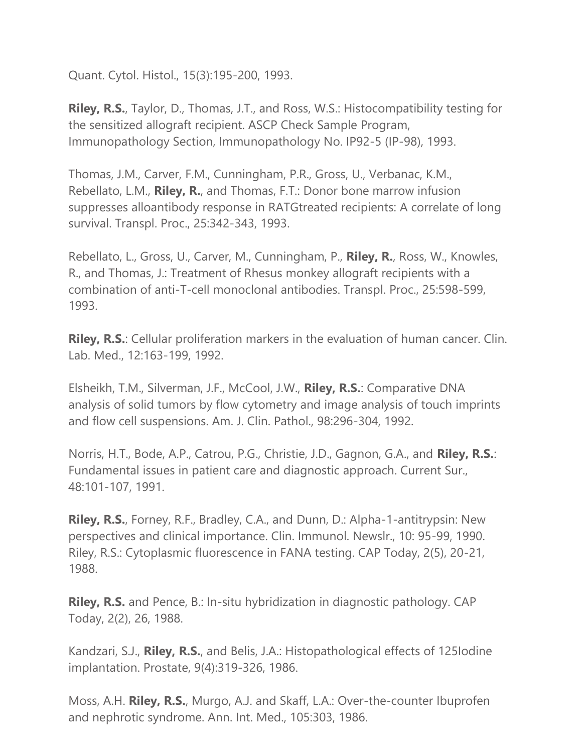Quant. Cytol. Histol., 15(3):195-200, 1993.

**Riley, R.S.**, Taylor, D., Thomas, J.T., and Ross, W.S.: Histocompatibility testing for the sensitized allograft recipient. ASCP Check Sample Program, Immunopathology Section, Immunopathology No. IP92-5 (IP-98), 1993.

Thomas, J.M., Carver, F.M., Cunningham, P.R., Gross, U., Verbanac, K.M., Rebellato, L.M., **Riley, R.**, and Thomas, F.T.: Donor bone marrow infusion suppresses alloantibody response in RATGtreated recipients: A correlate of long survival. Transpl. Proc., 25:342-343, 1993.

Rebellato, L., Gross, U., Carver, M., Cunningham, P., **Riley, R.**, Ross, W., Knowles, R., and Thomas, J.: Treatment of Rhesus monkey allograft recipients with a combination of anti-T-cell monoclonal antibodies. Transpl. Proc., 25:598-599, 1993.

**Riley, R.S.**: Cellular proliferation markers in the evaluation of human cancer. Clin. Lab. Med., 12:163-199, 1992.

Elsheikh, T.M., Silverman, J.F., McCool, J.W., **Riley, R.S.**: Comparative DNA analysis of solid tumors by flow cytometry and image analysis of touch imprints and flow cell suspensions. Am. J. Clin. Pathol., 98:296-304, 1992.

Norris, H.T., Bode, A.P., Catrou, P.G., Christie, J.D., Gagnon, G.A., and **Riley, R.S.**: Fundamental issues in patient care and diagnostic approach. Current Sur., 48:101-107, 1991.

**Riley, R.S.**, Forney, R.F., Bradley, C.A., and Dunn, D.: Alpha-1-antitrypsin: New perspectives and clinical importance. Clin. Immunol. Newslr., 10: 95-99, 1990. Riley, R.S.: Cytoplasmic fluorescence in FANA testing. CAP Today, 2(5), 20-21, 1988.

**Riley, R.S.** and Pence, B.: In-situ hybridization in diagnostic pathology. CAP Today, 2(2), 26, 1988.

Kandzari, S.J., **Riley, R.S.**, and Belis, J.A.: Histopathological effects of 125Iodine implantation. Prostate, 9(4):319-326, 1986.

Moss, A.H. **Riley, R.S.**, Murgo, A.J. and Skaff, L.A.: Over-the-counter Ibuprofen and nephrotic syndrome. Ann. Int. Med., 105:303, 1986.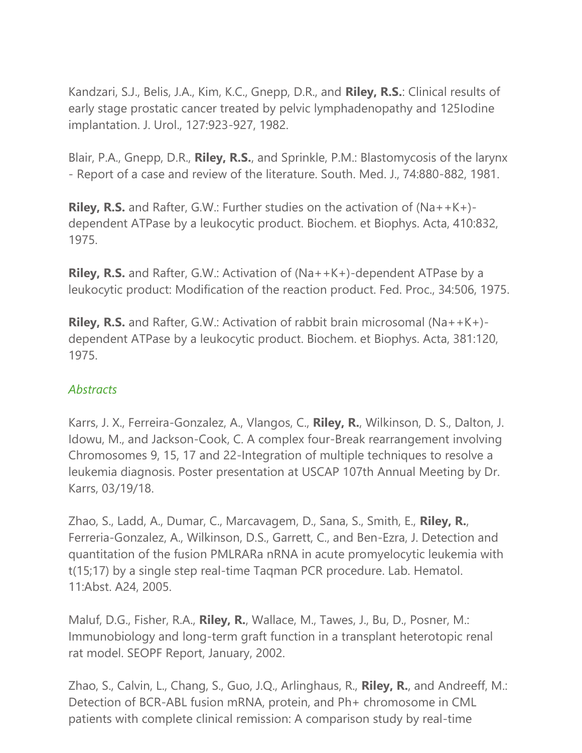Kandzari, S.J., Belis, J.A., Kim, K.C., Gnepp, D.R., and **Riley, R.S.**: Clinical results of early stage prostatic cancer treated by pelvic lymphadenopathy and 125Iodine implantation. J. Urol., 127:923-927, 1982.

Blair, P.A., Gnepp, D.R., **Riley, R.S.**, and Sprinkle, P.M.: Blastomycosis of the larynx - Report of a case and review of the literature. South. Med. J., 74:880-882, 1981.

**Riley, R.S.** and Rafter, G.W.: Further studies on the activation of (Na++K+) dependent ATPase by a leukocytic product. Biochem. et Biophys. Acta, 410:832, 1975.

**Riley, R.S.** and Rafter, G.W.: Activation of (Na++K+)-dependent ATPase by a leukocytic product: Modification of the reaction product. Fed. Proc., 34:506, 1975.

**Riley, R.S.** and Rafter, G.W.: Activation of rabbit brain microsomal (Na++K+) dependent ATPase by a leukocytic product. Biochem. et Biophys. Acta, 381:120, 1975.

### *Abstracts*

Karrs, J. X., Ferreira-Gonzalez, A., Vlangos, C., **Riley, R.**, Wilkinson, D. S., Dalton, J. Idowu, M., and Jackson-Cook, C. A complex four-Break rearrangement involving Chromosomes 9, 15, 17 and 22-Integration of multiple techniques to resolve a leukemia diagnosis. Poster presentation at USCAP 107th Annual Meeting by Dr. Karrs, 03/19/18.

Zhao, S., Ladd, A., Dumar, C., Marcavagem, D., Sana, S., Smith, E., **Riley, R.**, Ferreria-Gonzalez, A., Wilkinson, D.S., Garrett, C., and Ben-Ezra, J. Detection and quantitation of the fusion PMLRARa nRNA in acute promyelocytic leukemia with t(15;17) by a single step real-time Taqman PCR procedure. Lab. Hematol. 11:Abst. A24, 2005.

Maluf, D.G., Fisher, R.A., **Riley, R.**, Wallace, M., Tawes, J., Bu, D., Posner, M.: Immunobiology and long-term graft function in a transplant heterotopic renal rat model. SEOPF Report, January, 2002.

Zhao, S., Calvin, L., Chang, S., Guo, J.Q., Arlinghaus, R., **Riley, R.**, and Andreeff, M.: Detection of BCR-ABL fusion mRNA, protein, and Ph+ chromosome in CML patients with complete clinical remission: A comparison study by real-time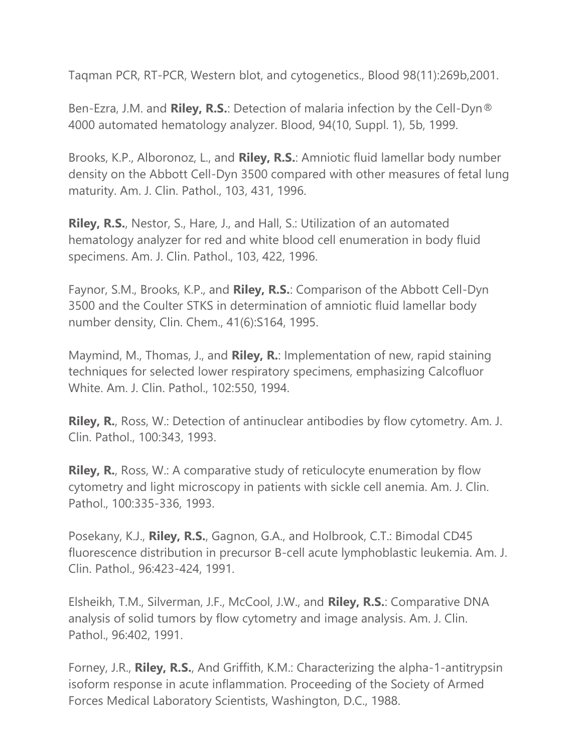Taqman PCR, RT-PCR, Western blot, and cytogenetics., Blood 98(11):269b,2001.

Ben-Ezra, J.M. and **Riley, R.S.**: Detection of malaria infection by the Cell-Dyn® 4000 automated hematology analyzer. Blood, 94(10, Suppl. 1), 5b, 1999.

Brooks, K.P., Alboronoz, L., and **Riley, R.S.**: Amniotic fluid lamellar body number density on the Abbott Cell-Dyn 3500 compared with other measures of fetal lung maturity. Am. J. Clin. Pathol., 103, 431, 1996.

**Riley, R.S.**, Nestor, S., Hare, J., and Hall, S.: Utilization of an automated hematology analyzer for red and white blood cell enumeration in body fluid specimens. Am. J. Clin. Pathol., 103, 422, 1996.

Faynor, S.M., Brooks, K.P., and **Riley, R.S.**: Comparison of the Abbott Cell-Dyn 3500 and the Coulter STKS in determination of amniotic fluid lamellar body number density, Clin. Chem., 41(6):S164, 1995.

Maymind, M., Thomas, J., and **Riley, R.**: Implementation of new, rapid staining techniques for selected lower respiratory specimens, emphasizing Calcofluor White. Am. J. Clin. Pathol., 102:550, 1994.

**Riley, R.**, Ross, W.: Detection of antinuclear antibodies by flow cytometry. Am. J. Clin. Pathol., 100:343, 1993.

**Riley, R.**, Ross, W.: A comparative study of reticulocyte enumeration by flow cytometry and light microscopy in patients with sickle cell anemia. Am. J. Clin. Pathol., 100:335-336, 1993.

Posekany, K.J., **Riley, R.S.**, Gagnon, G.A., and Holbrook, C.T.: Bimodal CD45 fluorescence distribution in precursor B-cell acute lymphoblastic leukemia. Am. J. Clin. Pathol., 96:423-424, 1991.

Elsheikh, T.M., Silverman, J.F., McCool, J.W., and **Riley, R.S.**: Comparative DNA analysis of solid tumors by flow cytometry and image analysis. Am. J. Clin. Pathol., 96:402, 1991.

Forney, J.R., **Riley, R.S.**, And Griffith, K.M.: Characterizing the alpha-1-antitrypsin isoform response in acute inflammation. Proceeding of the Society of Armed Forces Medical Laboratory Scientists, Washington, D.C., 1988.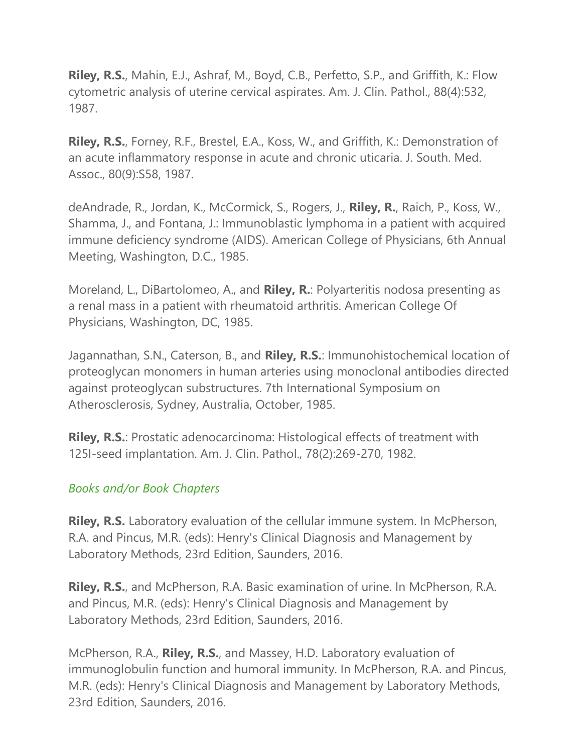**Riley, R.S.**, Mahin, E.J., Ashraf, M., Boyd, C.B., Perfetto, S.P., and Griffith, K.: Flow cytometric analysis of uterine cervical aspirates. Am. J. Clin. Pathol., 88(4):532, 1987.

**Riley, R.S.**, Forney, R.F., Brestel, E.A., Koss, W., and Griffith, K.: Demonstration of an acute inflammatory response in acute and chronic uticaria. J. South. Med. Assoc., 80(9):S58, 1987.

deAndrade, R., Jordan, K., McCormick, S., Rogers, J., **Riley, R.**, Raich, P., Koss, W., Shamma, J., and Fontana, J.: Immunoblastic lymphoma in a patient with acquired immune deficiency syndrome (AIDS). American College of Physicians, 6th Annual Meeting, Washington, D.C., 1985.

Moreland, L., DiBartolomeo, A., and **Riley, R.**: Polyarteritis nodosa presenting as a renal mass in a patient with rheumatoid arthritis. American College Of Physicians, Washington, DC, 1985.

Jagannathan, S.N., Caterson, B., and **Riley, R.S.**: Immunohistochemical location of proteoglycan monomers in human arteries using monoclonal antibodies directed against proteoglycan substructures. 7th International Symposium on Atherosclerosis, Sydney, Australia, October, 1985.

**Riley, R.S.**: Prostatic adenocarcinoma: Histological effects of treatment with 125I-seed implantation. Am. J. Clin. Pathol., 78(2):269-270, 1982.

### *Books and/or Book Chapters*

**Riley, R.S.** Laboratory evaluation of the cellular immune system. In McPherson, R.A. and Pincus, M.R. (eds): Henry's Clinical Diagnosis and Management by Laboratory Methods, 23rd Edition, Saunders, 2016.

**Riley, R.S.**, and McPherson, R.A. Basic examination of urine. In McPherson, R.A. and Pincus, M.R. (eds): Henry's Clinical Diagnosis and Management by Laboratory Methods, 23rd Edition, Saunders, 2016.

McPherson, R.A., **Riley, R.S.**, and Massey, H.D. Laboratory evaluation of immunoglobulin function and humoral immunity. In McPherson, R.A. and Pincus, M.R. (eds): Henry's Clinical Diagnosis and Management by Laboratory Methods, 23rd Edition, Saunders, 2016.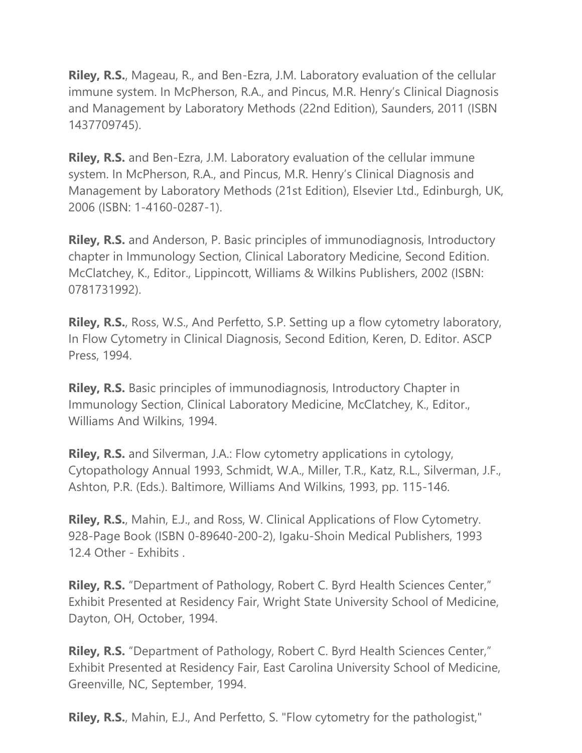**Riley, R.S.**, Mageau, R., and Ben-Ezra, J.M. Laboratory evaluation of the cellular immune system. In McPherson, R.A., and Pincus, M.R. Henry's Clinical Diagnosis and Management by Laboratory Methods (22nd Edition), Saunders, 2011 (ISBN 1437709745).

**Riley, R.S.** and Ben-Ezra, J.M. Laboratory evaluation of the cellular immune system. In McPherson, R.A., and Pincus, M.R. Henry's Clinical Diagnosis and Management by Laboratory Methods (21st Edition), Elsevier Ltd., Edinburgh, UK, 2006 (ISBN: 1-4160-0287-1).

**Riley, R.S.** and Anderson, P. Basic principles of immunodiagnosis, Introductory chapter in Immunology Section, Clinical Laboratory Medicine, Second Edition. McClatchey, K., Editor., Lippincott, Williams & Wilkins Publishers, 2002 (ISBN: 0781731992).

**Riley, R.S.**, Ross, W.S., And Perfetto, S.P. Setting up a flow cytometry laboratory, In Flow Cytometry in Clinical Diagnosis, Second Edition, Keren, D. Editor. ASCP Press, 1994.

**Riley, R.S.** Basic principles of immunodiagnosis, Introductory Chapter in Immunology Section, Clinical Laboratory Medicine, McClatchey, K., Editor., Williams And Wilkins, 1994.

**Riley, R.S.** and Silverman, J.A.: Flow cytometry applications in cytology, Cytopathology Annual 1993, Schmidt, W.A., Miller, T.R., Katz, R.L., Silverman, J.F., Ashton, P.R. (Eds.). Baltimore, Williams And Wilkins, 1993, pp. 115-146.

**Riley, R.S.**, Mahin, E.J., and Ross, W. Clinical Applications of Flow Cytometry. 928-Page Book (ISBN 0-89640-200-2), Igaku-Shoin Medical Publishers, 1993 12.4 Other - Exhibits .

**Riley, R.S.** "Department of Pathology, Robert C. Byrd Health Sciences Center," Exhibit Presented at Residency Fair, Wright State University School of Medicine, Dayton, OH, October, 1994.

**Riley, R.S.** "Department of Pathology, Robert C. Byrd Health Sciences Center," Exhibit Presented at Residency Fair, East Carolina University School of Medicine, Greenville, NC, September, 1994.

**Riley, R.S.**, Mahin, E.J., And Perfetto, S. "Flow cytometry for the pathologist,"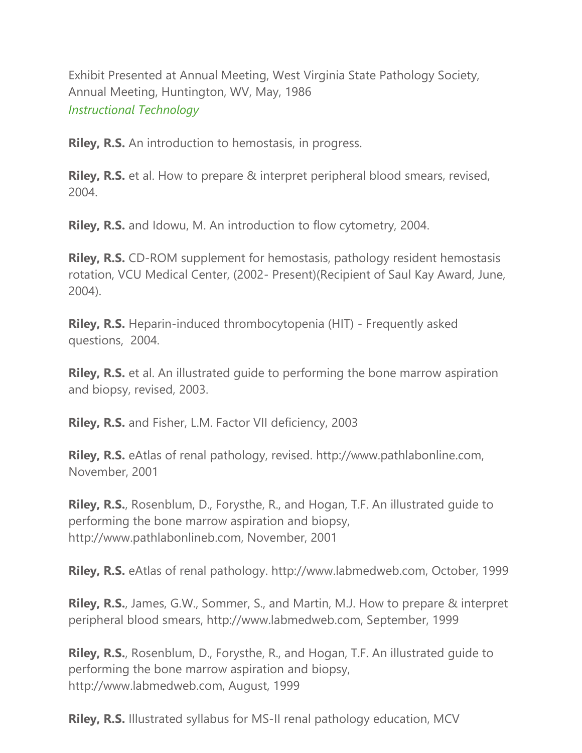Exhibit Presented at Annual Meeting, West Virginia State Pathology Society, Annual Meeting, Huntington, WV, May, 1986 *Instructional Technology*

**Riley, R.S.** An introduction to hemostasis, in progress.

**Riley, R.S.** et al. How to prepare & interpret peripheral blood smears, revised, 2004.

**Riley, R.S.** and Idowu, M. An introduction to flow cytometry, 2004.

**Riley, R.S.** CD-ROM supplement for hemostasis, pathology resident hemostasis rotation, VCU Medical Center, (2002- Present)(Recipient of Saul Kay Award, June, 2004).

**Riley, R.S.** Heparin-induced thrombocytopenia (HIT) - Frequently asked questions, 2004.

**Riley, R.S.** et al. An illustrated quide to performing the bone marrow aspiration and biopsy, revised, 2003.

**Riley, R.S.** and Fisher, L.M. Factor VII deficiency, 2003

**Riley, R.S.** eAtlas of renal pathology, revised. http://www.pathlabonline.com, November, 2001

**Riley, R.S.**, Rosenblum, D., Forysthe, R., and Hogan, T.F. An illustrated guide to performing the bone marrow aspiration and biopsy, http://www.pathlabonlineb.com, November, 2001

**Riley, R.S.** eAtlas of renal pathology. http://www.labmedweb.com, October, 1999

**Riley, R.S.**, James, G.W., Sommer, S., and Martin, M.J. How to prepare & interpret peripheral blood smears, http://www.labmedweb.com, September, 1999

**Riley, R.S.**, Rosenblum, D., Forysthe, R., and Hogan, T.F. An illustrated guide to performing the bone marrow aspiration and biopsy, http://www.labmedweb.com, August, 1999

**Riley, R.S.** Illustrated syllabus for MS-II renal pathology education, MCV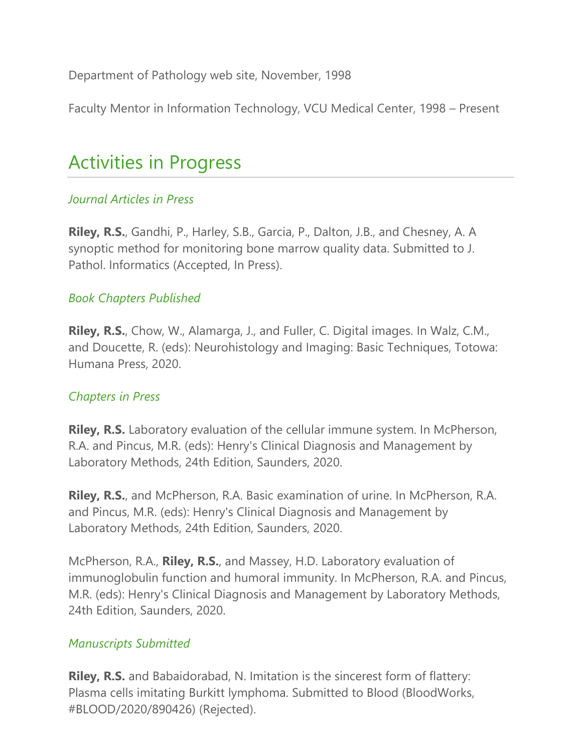Department of Pathology web site, November, 1998

Faculty Mentor in Information Technology, VCU Medical Center, 1998 – Present

# Activities in Progress

### *Journal Articles in Press*

**Riley, R.S.**, Gandhi, P., Harley, S.B., Garcia, P., Dalton, J.B., and Chesney, A. A synoptic method for monitoring bone marrow quality data. Submitted to J. Pathol. Informatics (Accepted, In Press).

### *Book Chapters Published*

**Riley, R.S.**, Chow, W., Alamarga, J., and Fuller, C. Digital images. In Walz, C.M., and Doucette, R. (eds): Neurohistology and Imaging: Basic Techniques, Totowa: Humana Press, 2020.

### *Chapters in Press*

**Riley, R.S.** Laboratory evaluation of the cellular immune system. In McPherson, R.A. and Pincus, M.R. (eds): Henry's Clinical Diagnosis and Management by Laboratory Methods, 24th Edition, Saunders, 2020.

**Riley, R.S.**, and McPherson, R.A. Basic examination of urine. In McPherson, R.A. and Pincus, M.R. (eds): Henry's Clinical Diagnosis and Management by Laboratory Methods, 24th Edition, Saunders, 2020.

McPherson, R.A., **Riley, R.S.**, and Massey, H.D. Laboratory evaluation of immunoglobulin function and humoral immunity. In McPherson, R.A. and Pincus, M.R. (eds): Henry's Clinical Diagnosis and Management by Laboratory Methods, 24th Edition, Saunders, 2020.

### *Manuscripts Submitted*

**Riley, R.S.** and Babaidorabad, N. Imitation is the sincerest form of flattery: Plasma cells imitating Burkitt lymphoma. Submitted to Blood (BloodWorks, #BLOOD/2020/890426) (Rejected).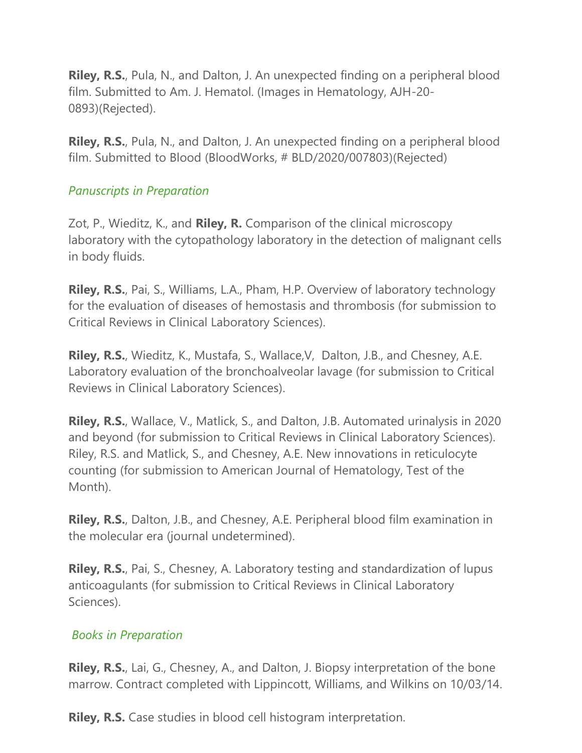**Riley, R.S.**, Pula, N., and Dalton, J. An unexpected finding on a peripheral blood film. Submitted to Am. J. Hematol. (Images in Hematology, AJH-20- 0893)(Rejected).

**Riley, R.S.**, Pula, N., and Dalton, J. An unexpected finding on a peripheral blood film. Submitted to Blood (BloodWorks, # BLD/2020/007803)(Rejected)

### *Panuscripts in Preparation*

Zot, P., Wieditz, K., and **Riley, R.** Comparison of the clinical microscopy laboratory with the cytopathology laboratory in the detection of malignant cells in body fluids.

**Riley, R.S.**, Pai, S., Williams, L.A., Pham, H.P. Overview of laboratory technology for the evaluation of diseases of hemostasis and thrombosis (for submission to Critical Reviews in Clinical Laboratory Sciences).

**Riley, R.S.**, Wieditz, K., Mustafa, S., Wallace,V, Dalton, J.B., and Chesney, A.E. Laboratory evaluation of the bronchoalveolar lavage (for submission to Critical Reviews in Clinical Laboratory Sciences).

**Riley, R.S.**, Wallace, V., Matlick, S., and Dalton, J.B. Automated urinalysis in 2020 and beyond (for submission to Critical Reviews in Clinical Laboratory Sciences). Riley, R.S. and Matlick, S., and Chesney, A.E. New innovations in reticulocyte counting (for submission to American Journal of Hematology, Test of the Month).

**Riley, R.S.**, Dalton, J.B., and Chesney, A.E. Peripheral blood film examination in the molecular era (journal undetermined).

**Riley, R.S.**, Pai, S., Chesney, A. Laboratory testing and standardization of lupus anticoagulants (for submission to Critical Reviews in Clinical Laboratory Sciences).

### *Books in Preparation*

**Riley, R.S.**, Lai, G., Chesney, A., and Dalton, J. Biopsy interpretation of the bone marrow. Contract completed with Lippincott, Williams, and Wilkins on 10/03/14.

**Riley, R.S.** Case studies in blood cell histogram interpretation.